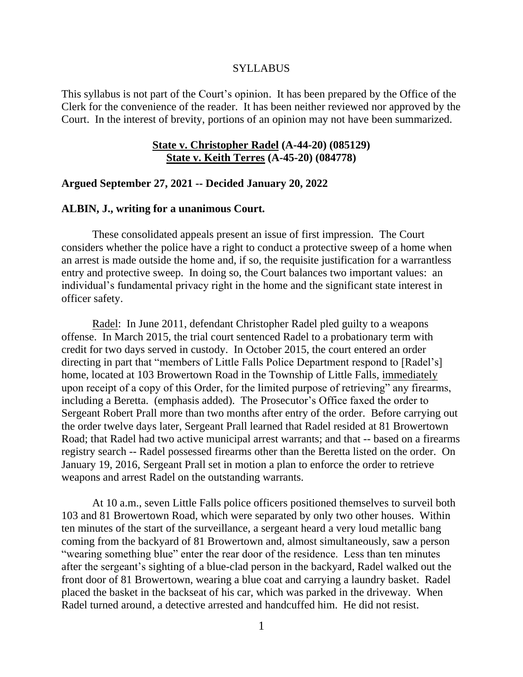#### **SYLLABUS**

This syllabus is not part of the Court's opinion. It has been prepared by the Office of the Clerk for the convenience of the reader. It has been neither reviewed nor approved by the Court. In the interest of brevity, portions of an opinion may not have been summarized.

### **State v. Christopher Radel (A-44-20) (085129) State v. Keith Terres (A-45-20) (084778)**

#### **Argued September 27, 2021 -- Decided January 20, 2022**

#### **ALBIN, J., writing for a unanimous Court.**

These consolidated appeals present an issue of first impression. The Court considers whether the police have a right to conduct a protective sweep of a home when an arrest is made outside the home and, if so, the requisite justification for a warrantless entry and protective sweep. In doing so, the Court balances two important values: an individual's fundamental privacy right in the home and the significant state interest in officer safety.

Radel: In June 2011, defendant Christopher Radel pled guilty to a weapons offense. In March 2015, the trial court sentenced Radel to a probationary term with credit for two days served in custody. In October 2015, the court entered an order directing in part that "members of Little Falls Police Department respond to [Radel's] home, located at 103 Browertown Road in the Township of Little Falls, *immediately* upon receipt of a copy of this Order, for the limited purpose of retrieving" any firearms, including a Beretta. (emphasis added). The Prosecutor's Office faxed the order to Sergeant Robert Prall more than two months after entry of the order. Before carrying out the order twelve days later, Sergeant Prall learned that Radel resided at 81 Browertown Road; that Radel had two active municipal arrest warrants; and that -- based on a firearms registry search -- Radel possessed firearms other than the Beretta listed on the order. On January 19, 2016, Sergeant Prall set in motion a plan to enforce the order to retrieve weapons and arrest Radel on the outstanding warrants.

At 10 a.m., seven Little Falls police officers positioned themselves to surveil both 103 and 81 Browertown Road, which were separated by only two other houses. Within ten minutes of the start of the surveillance, a sergeant heard a very loud metallic bang coming from the backyard of 81 Browertown and, almost simultaneously, saw a person "wearing something blue" enter the rear door of the residence. Less than ten minutes after the sergeant's sighting of a blue-clad person in the backyard, Radel walked out the front door of 81 Browertown, wearing a blue coat and carrying a laundry basket. Radel placed the basket in the backseat of his car, which was parked in the driveway. When Radel turned around, a detective arrested and handcuffed him. He did not resist.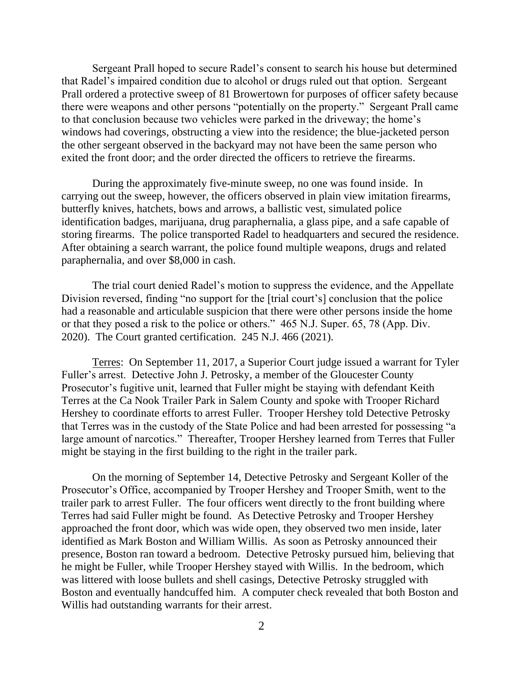Sergeant Prall hoped to secure Radel's consent to search his house but determined that Radel's impaired condition due to alcohol or drugs ruled out that option. Sergeant Prall ordered a protective sweep of 81 Browertown for purposes of officer safety because there were weapons and other persons "potentially on the property." Sergeant Prall came to that conclusion because two vehicles were parked in the driveway; the home's windows had coverings, obstructing a view into the residence; the blue-jacketed person the other sergeant observed in the backyard may not have been the same person who exited the front door; and the order directed the officers to retrieve the firearms.

During the approximately five-minute sweep, no one was found inside. In carrying out the sweep, however, the officers observed in plain view imitation firearms, butterfly knives, hatchets, bows and arrows, a ballistic vest, simulated police identification badges, marijuana, drug paraphernalia, a glass pipe, and a safe capable of storing firearms. The police transported Radel to headquarters and secured the residence. After obtaining a search warrant, the police found multiple weapons, drugs and related paraphernalia, and over \$8,000 in cash.

The trial court denied Radel's motion to suppress the evidence, and the Appellate Division reversed, finding "no support for the [trial court's] conclusion that the police had a reasonable and articulable suspicion that there were other persons inside the home or that they posed a risk to the police or others." 465 N.J. Super. 65, 78 (App. Div. 2020). The Court granted certification. 245 N.J. 466 (2021).

Terres: On September 11, 2017, a Superior Court judge issued a warrant for Tyler Fuller's arrest. Detective John J. Petrosky, a member of the Gloucester County Prosecutor's fugitive unit, learned that Fuller might be staying with defendant Keith Terres at the Ca Nook Trailer Park in Salem County and spoke with Trooper Richard Hershey to coordinate efforts to arrest Fuller. Trooper Hershey told Detective Petrosky that Terres was in the custody of the State Police and had been arrested for possessing "a large amount of narcotics." Thereafter, Trooper Hershey learned from Terres that Fuller might be staying in the first building to the right in the trailer park.

On the morning of September 14, Detective Petrosky and Sergeant Koller of the Prosecutor's Office, accompanied by Trooper Hershey and Trooper Smith, went to the trailer park to arrest Fuller. The four officers went directly to the front building where Terres had said Fuller might be found. As Detective Petrosky and Trooper Hershey approached the front door, which was wide open, they observed two men inside, later identified as Mark Boston and William Willis. As soon as Petrosky announced their presence, Boston ran toward a bedroom. Detective Petrosky pursued him, believing that he might be Fuller, while Trooper Hershey stayed with Willis. In the bedroom, which was littered with loose bullets and shell casings, Detective Petrosky struggled with Boston and eventually handcuffed him. A computer check revealed that both Boston and Willis had outstanding warrants for their arrest.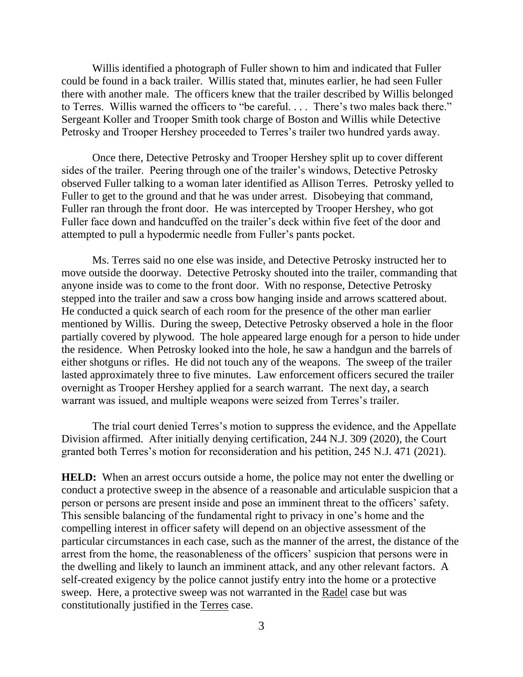Willis identified a photograph of Fuller shown to him and indicated that Fuller could be found in a back trailer. Willis stated that, minutes earlier, he had seen Fuller there with another male. The officers knew that the trailer described by Willis belonged to Terres. Willis warned the officers to "be careful. . . . There's two males back there." Sergeant Koller and Trooper Smith took charge of Boston and Willis while Detective Petrosky and Trooper Hershey proceeded to Terres's trailer two hundred yards away.

Once there, Detective Petrosky and Trooper Hershey split up to cover different sides of the trailer. Peering through one of the trailer's windows, Detective Petrosky observed Fuller talking to a woman later identified as Allison Terres. Petrosky yelled to Fuller to get to the ground and that he was under arrest. Disobeying that command, Fuller ran through the front door. He was intercepted by Trooper Hershey, who got Fuller face down and handcuffed on the trailer's deck within five feet of the door and attempted to pull a hypodermic needle from Fuller's pants pocket.

Ms. Terres said no one else was inside, and Detective Petrosky instructed her to move outside the doorway. Detective Petrosky shouted into the trailer, commanding that anyone inside was to come to the front door. With no response, Detective Petrosky stepped into the trailer and saw a cross bow hanging inside and arrows scattered about. He conducted a quick search of each room for the presence of the other man earlier mentioned by Willis. During the sweep, Detective Petrosky observed a hole in the floor partially covered by plywood. The hole appeared large enough for a person to hide under the residence. When Petrosky looked into the hole, he saw a handgun and the barrels of either shotguns or rifles. He did not touch any of the weapons. The sweep of the trailer lasted approximately three to five minutes. Law enforcement officers secured the trailer overnight as Trooper Hershey applied for a search warrant. The next day, a search warrant was issued, and multiple weapons were seized from Terres's trailer.

The trial court denied Terres's motion to suppress the evidence, and the Appellate Division affirmed. After initially denying certification, 244 N.J. 309 (2020), the Court granted both Terres's motion for reconsideration and his petition, 245 N.J. 471 (2021).

**HELD:** When an arrest occurs outside a home, the police may not enter the dwelling or conduct a protective sweep in the absence of a reasonable and articulable suspicion that a person or persons are present inside and pose an imminent threat to the officers' safety. This sensible balancing of the fundamental right to privacy in one's home and the compelling interest in officer safety will depend on an objective assessment of the particular circumstances in each case, such as the manner of the arrest, the distance of the arrest from the home, the reasonableness of the officers' suspicion that persons were in the dwelling and likely to launch an imminent attack, and any other relevant factors. A self-created exigency by the police cannot justify entry into the home or a protective sweep. Here, a protective sweep was not warranted in the Radel case but was constitutionally justified in the Terres case.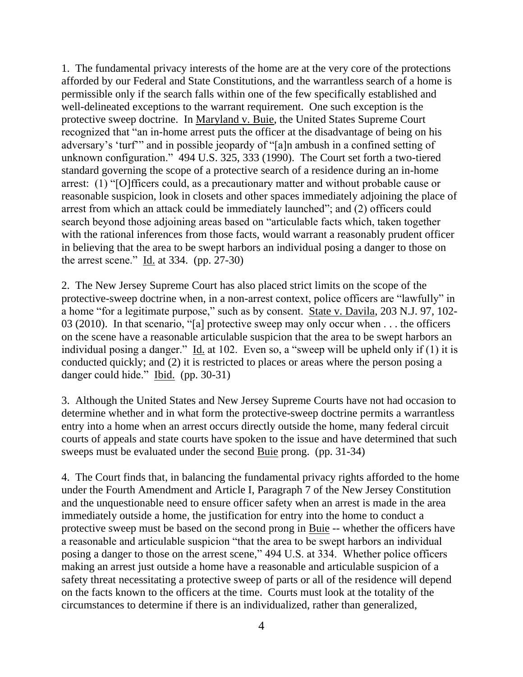1. The fundamental privacy interests of the home are at the very core of the protections afforded by our Federal and State Constitutions, and the warrantless search of a home is permissible only if the search falls within one of the few specifically established and well-delineated exceptions to the warrant requirement. One such exception is the protective sweep doctrine. In Maryland v. Buie, the United States Supreme Court recognized that "an in-home arrest puts the officer at the disadvantage of being on his adversary's 'turf'" and in possible jeopardy of "[a]n ambush in a confined setting of unknown configuration." 494 U.S. 325, 333 (1990). The Court set forth a two-tiered standard governing the scope of a protective search of a residence during an in-home arrest: (1) "[O]fficers could, as a precautionary matter and without probable cause or reasonable suspicion, look in closets and other spaces immediately adjoining the place of arrest from which an attack could be immediately launched"; and (2) officers could search beyond those adjoining areas based on "articulable facts which, taken together with the rational inferences from those facts, would warrant a reasonably prudent officer in believing that the area to be swept harbors an individual posing a danger to those on the arrest scene." Id. at 334. (pp. 27-30)

2. The New Jersey Supreme Court has also placed strict limits on the scope of the protective-sweep doctrine when, in a non-arrest context, police officers are "lawfully" in a home "for a legitimate purpose," such as by consent. State v. Davila, 203 N.J. 97, 102- 03 (2010). In that scenario, "[a] protective sweep may only occur when . . . the officers on the scene have a reasonable articulable suspicion that the area to be swept harbors an individual posing a danger." Id. at 102. Even so, a "sweep will be upheld only if (1) it is conducted quickly; and (2) it is restricted to places or areas where the person posing a danger could hide." Ibid. (pp. 30-31)

3. Although the United States and New Jersey Supreme Courts have not had occasion to determine whether and in what form the protective-sweep doctrine permits a warrantless entry into a home when an arrest occurs directly outside the home, many federal circuit courts of appeals and state courts have spoken to the issue and have determined that such sweeps must be evaluated under the second Buie prong. (pp. 31-34)

4. The Court finds that, in balancing the fundamental privacy rights afforded to the home under the Fourth Amendment and Article I, Paragraph 7 of the New Jersey Constitution and the unquestionable need to ensure officer safety when an arrest is made in the area immediately outside a home, the justification for entry into the home to conduct a protective sweep must be based on the second prong in Buie -- whether the officers have a reasonable and articulable suspicion "that the area to be swept harbors an individual posing a danger to those on the arrest scene," 494 U.S. at 334. Whether police officers making an arrest just outside a home have a reasonable and articulable suspicion of a safety threat necessitating a protective sweep of parts or all of the residence will depend on the facts known to the officers at the time. Courts must look at the totality of the circumstances to determine if there is an individualized, rather than generalized,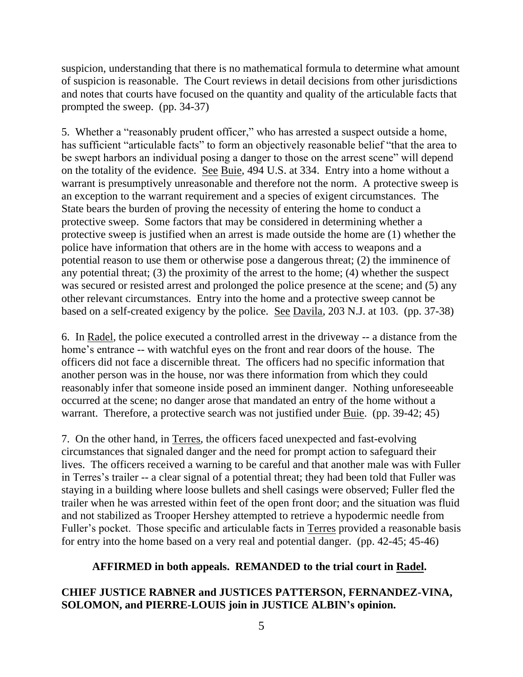suspicion, understanding that there is no mathematical formula to determine what amount of suspicion is reasonable. The Court reviews in detail decisions from other jurisdictions and notes that courts have focused on the quantity and quality of the articulable facts that prompted the sweep. (pp. 34-37)

5. Whether a "reasonably prudent officer," who has arrested a suspect outside a home, has sufficient "articulable facts" to form an objectively reasonable belief "that the area to be swept harbors an individual posing a danger to those on the arrest scene" will depend on the totality of the evidence. See Buie, 494 U.S. at 334. Entry into a home without a warrant is presumptively unreasonable and therefore not the norm. A protective sweep is an exception to the warrant requirement and a species of exigent circumstances. The State bears the burden of proving the necessity of entering the home to conduct a protective sweep. Some factors that may be considered in determining whether a protective sweep is justified when an arrest is made outside the home are (1) whether the police have information that others are in the home with access to weapons and a potential reason to use them or otherwise pose a dangerous threat; (2) the imminence of any potential threat; (3) the proximity of the arrest to the home; (4) whether the suspect was secured or resisted arrest and prolonged the police presence at the scene; and (5) any other relevant circumstances. Entry into the home and a protective sweep cannot be based on a self-created exigency by the police. See Davila, 203 N.J. at 103. (pp. 37-38)

6. In Radel, the police executed a controlled arrest in the driveway -- a distance from the home's entrance -- with watchful eyes on the front and rear doors of the house. The officers did not face a discernible threat. The officers had no specific information that another person was in the house, nor was there information from which they could reasonably infer that someone inside posed an imminent danger. Nothing unforeseeable occurred at the scene; no danger arose that mandated an entry of the home without a warrant. Therefore, a protective search was not justified under Buie. (pp. 39-42; 45)

7. On the other hand, in Terres, the officers faced unexpected and fast-evolving circumstances that signaled danger and the need for prompt action to safeguard their lives. The officers received a warning to be careful and that another male was with Fuller in Terres's trailer -- a clear signal of a potential threat; they had been told that Fuller was staying in a building where loose bullets and shell casings were observed; Fuller fled the trailer when he was arrested within feet of the open front door; and the situation was fluid and not stabilized as Trooper Hershey attempted to retrieve a hypodermic needle from Fuller's pocket. Those specific and articulable facts in Terres provided a reasonable basis for entry into the home based on a very real and potential danger. (pp. 42-45; 45-46)

## **AFFIRMED in both appeals. REMANDED to the trial court in Radel.**

## **CHIEF JUSTICE RABNER and JUSTICES PATTERSON, FERNANDEZ-VINA, SOLOMON, and PIERRE-LOUIS join in JUSTICE ALBIN's opinion.**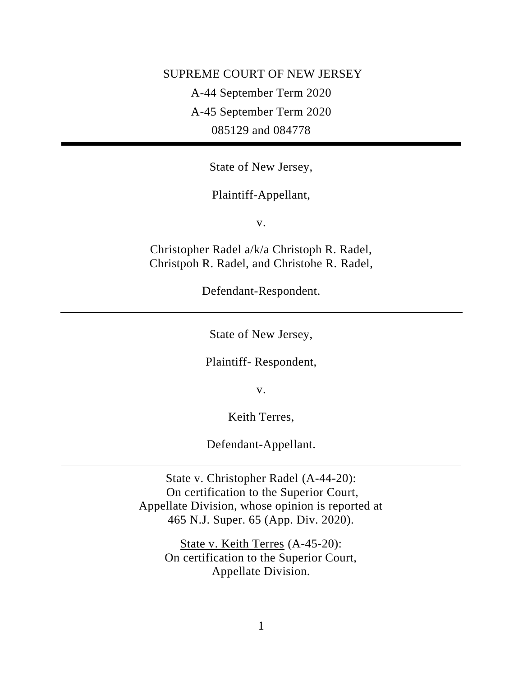SUPREME COURT OF NEW JERSEY A-44 September Term 2020 A-45 September Term 2020 085129 and 084778

State of New Jersey,

Plaintiff-Appellant,

v.

Christopher Radel a/k/a Christoph R. Radel, Christpoh R. Radel, and Christohe R. Radel,

Defendant-Respondent.

State of New Jersey,

Plaintiff- Respondent,

v.

Keith Terres,

Defendant-Appellant.

State v. Christopher Radel (A-44-20): On certification to the Superior Court, Appellate Division, whose opinion is reported at 465 N.J. Super. 65 (App. Div. 2020).

> State v. Keith Terres (A-45-20): On certification to the Superior Court, Appellate Division.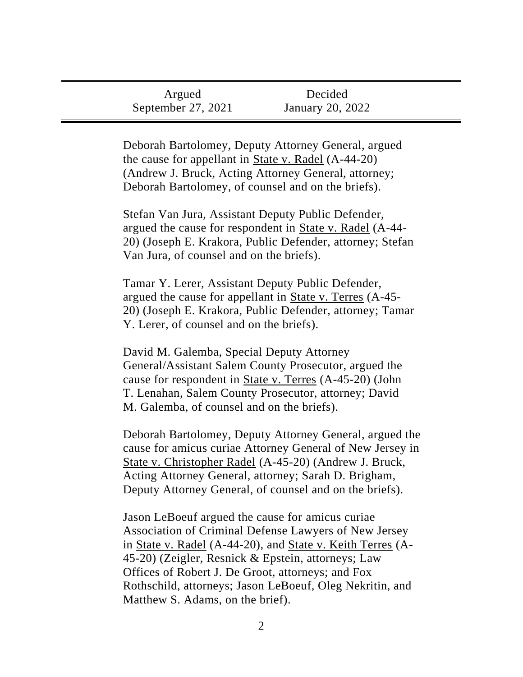| Argued             | Decided          |
|--------------------|------------------|
| September 27, 2021 | January 20, 2022 |

Deborah Bartolomey, Deputy Attorney General, argued the cause for appellant in State v. Radel (A-44-20) (Andrew J. Bruck, Acting Attorney General, attorney; Deborah Bartolomey, of counsel and on the briefs).

Stefan Van Jura, Assistant Deputy Public Defender, argued the cause for respondent in State v. Radel (A-44- 20) (Joseph E. Krakora, Public Defender, attorney; Stefan Van Jura, of counsel and on the briefs).

Tamar Y. Lerer, Assistant Deputy Public Defender, argued the cause for appellant in State v. Terres (A-45- 20) (Joseph E. Krakora, Public Defender, attorney; Tamar Y. Lerer, of counsel and on the briefs).

David M. Galemba, Special Deputy Attorney General/Assistant Salem County Prosecutor, argued the cause for respondent in State v. Terres (A-45-20) (John T. Lenahan, Salem County Prosecutor, attorney; David M. Galemba, of counsel and on the briefs).

Deborah Bartolomey, Deputy Attorney General, argued the cause for amicus curiae Attorney General of New Jersey in State v. Christopher Radel (A-45-20) (Andrew J. Bruck, Acting Attorney General, attorney; Sarah D. Brigham, Deputy Attorney General, of counsel and on the briefs).

Jason LeBoeuf argued the cause for amicus curiae Association of Criminal Defense Lawyers of New Jersey in State v. Radel (A-44-20), and State v. Keith Terres (A-45-20) (Zeigler, Resnick & Epstein, attorneys; Law Offices of Robert J. De Groot, attorneys; and Fox Rothschild, attorneys; Jason LeBoeuf, Oleg Nekritin, and Matthew S. Adams, on the brief).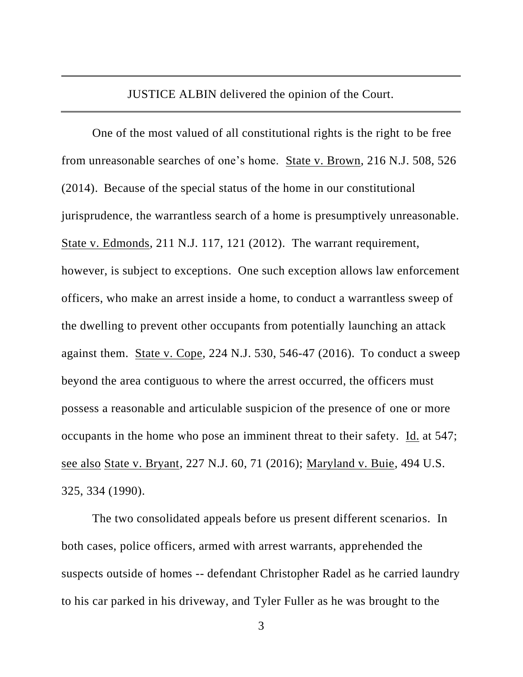JUSTICE ALBIN delivered the opinion of the Court.

One of the most valued of all constitutional rights is the right to be free from unreasonable searches of one's home. State v. Brown, 216 N.J. 508, 526 (2014). Because of the special status of the home in our constitutional jurisprudence, the warrantless search of a home is presumptively unreasonable. State v. Edmonds, 211 N.J. 117, 121 (2012). The warrant requirement, however, is subject to exceptions. One such exception allows law enforcement officers, who make an arrest inside a home, to conduct a warrantless sweep of the dwelling to prevent other occupants from potentially launching an attack against them. State v. Cope, 224 N.J. 530, 546-47 (2016). To conduct a sweep beyond the area contiguous to where the arrest occurred, the officers must possess a reasonable and articulable suspicion of the presence of one or more occupants in the home who pose an imminent threat to their safety. Id. at 547; see also State v. Bryant, 227 N.J. 60, 71 (2016); Maryland v. Buie, 494 U.S. 325, 334 (1990).

The two consolidated appeals before us present different scenarios. In both cases, police officers, armed with arrest warrants, apprehended the suspects outside of homes -- defendant Christopher Radel as he carried laundry to his car parked in his driveway, and Tyler Fuller as he was brought to the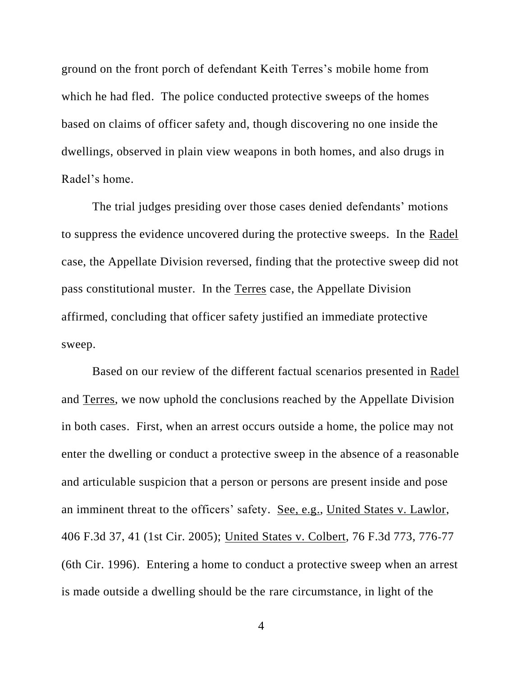ground on the front porch of defendant Keith Terres's mobile home from which he had fled. The police conducted protective sweeps of the homes based on claims of officer safety and, though discovering no one inside the dwellings, observed in plain view weapons in both homes, and also drugs in Radel's home.

The trial judges presiding over those cases denied defendants' motions to suppress the evidence uncovered during the protective sweeps. In the Radel case, the Appellate Division reversed, finding that the protective sweep did not pass constitutional muster. In the Terres case, the Appellate Division affirmed, concluding that officer safety justified an immediate protective sweep.

Based on our review of the different factual scenarios presented in Radel and Terres, we now uphold the conclusions reached by the Appellate Division in both cases. First, when an arrest occurs outside a home, the police may not enter the dwelling or conduct a protective sweep in the absence of a reasonable and articulable suspicion that a person or persons are present inside and pose an imminent threat to the officers' safety. See, e.g., United States v. Lawlor, 406 F.3d 37, 41 (1st Cir. 2005); United States v. Colbert, 76 F.3d 773, 776-77 (6th Cir. 1996). Entering a home to conduct a protective sweep when an arrest is made outside a dwelling should be the rare circumstance, in light of the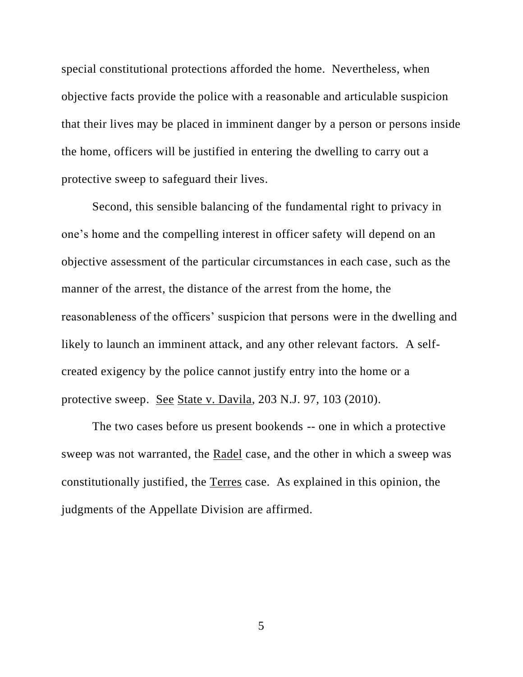special constitutional protections afforded the home. Nevertheless, when objective facts provide the police with a reasonable and articulable suspicion that their lives may be placed in imminent danger by a person or persons inside the home, officers will be justified in entering the dwelling to carry out a protective sweep to safeguard their lives.

Second, this sensible balancing of the fundamental right to privacy in one's home and the compelling interest in officer safety will depend on an objective assessment of the particular circumstances in each case, such as the manner of the arrest, the distance of the arrest from the home, the reasonableness of the officers' suspicion that persons were in the dwelling and likely to launch an imminent attack, and any other relevant factors. A selfcreated exigency by the police cannot justify entry into the home or a protective sweep. See State v. Davila, 203 N.J. 97, 103 (2010).

The two cases before us present bookends -- one in which a protective sweep was not warranted, the Radel case, and the other in which a sweep was constitutionally justified, the Terres case. As explained in this opinion, the judgments of the Appellate Division are affirmed.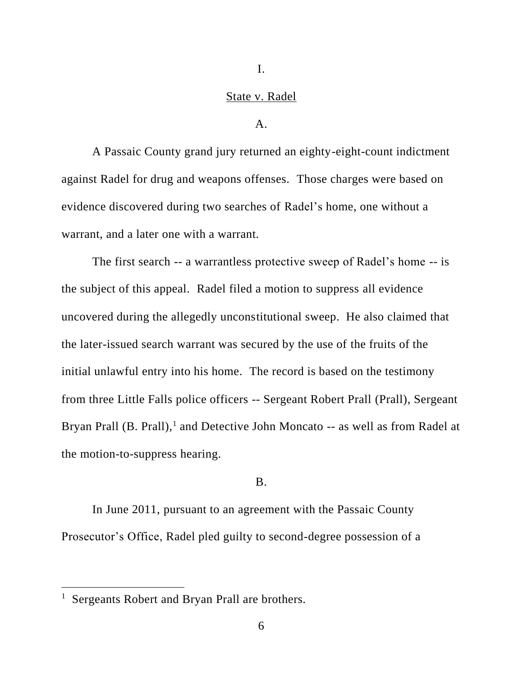I.

## State v. Radel

#### $A<sub>1</sub>$

A Passaic County grand jury returned an eighty-eight-count indictment against Radel for drug and weapons offenses. Those charges were based on evidence discovered during two searches of Radel's home, one without a warrant, and a later one with a warrant.

The first search -- a warrantless protective sweep of Radel's home -- is the subject of this appeal. Radel filed a motion to suppress all evidence uncovered during the allegedly unconstitutional sweep. He also claimed that the later-issued search warrant was secured by the use of the fruits of the initial unlawful entry into his home. The record is based on the testimony from three Little Falls police officers -- Sergeant Robert Prall (Prall), Sergeant Bryan Prall (B. Prall),<sup>1</sup> and Detective John Moncato -- as well as from Radel at the motion-to-suppress hearing.

### B.

In June 2011, pursuant to an agreement with the Passaic County Prosecutor's Office, Radel pled guilty to second-degree possession of a

<sup>&</sup>lt;sup>1</sup> Sergeants Robert and Bryan Prall are brothers.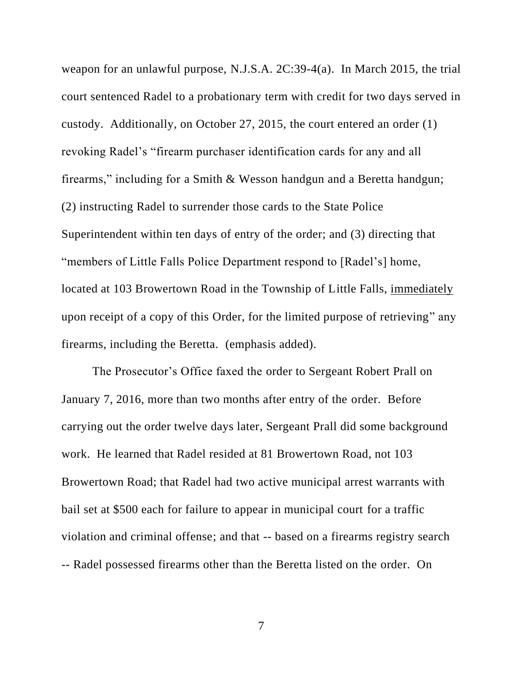weapon for an unlawful purpose, N.J.S.A. 2C:39-4(a). In March 2015, the trial court sentenced Radel to a probationary term with credit for two days served in custody. Additionally, on October 27, 2015, the court entered an order (1) revoking Radel's "firearm purchaser identification cards for any and all firearms," including for a Smith & Wesson handgun and a Beretta handgun; (2) instructing Radel to surrender those cards to the State Police Superintendent within ten days of entry of the order; and (3) directing that "members of Little Falls Police Department respond to [Radel's] home, located at 103 Browertown Road in the Township of Little Falls, immediately upon receipt of a copy of this Order, for the limited purpose of retrieving" any firearms, including the Beretta. (emphasis added).

The Prosecutor's Office faxed the order to Sergeant Robert Prall on January 7, 2016, more than two months after entry of the order. Before carrying out the order twelve days later, Sergeant Prall did some background work. He learned that Radel resided at 81 Browertown Road, not 103 Browertown Road; that Radel had two active municipal arrest warrants with bail set at \$500 each for failure to appear in municipal court for a traffic violation and criminal offense; and that -- based on a firearms registry search

-- Radel possessed firearms other than the Beretta listed on the order. On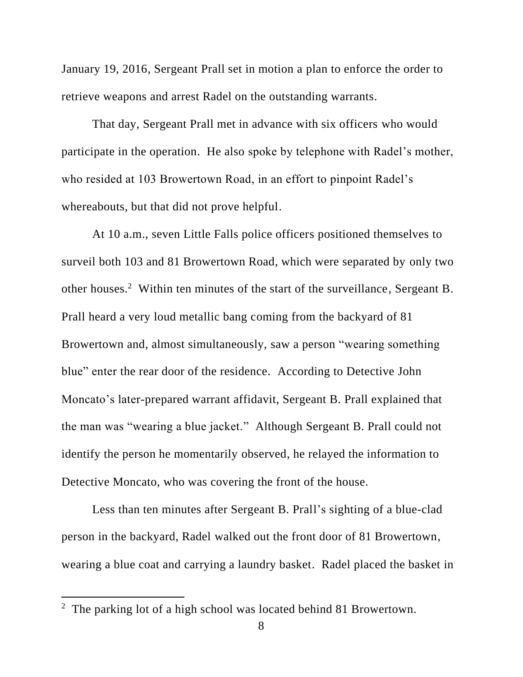January 19, 2016, Sergeant Prall set in motion a plan to enforce the order to retrieve weapons and arrest Radel on the outstanding warrants.

That day, Sergeant Prall met in advance with six officers who would participate in the operation. He also spoke by telephone with Radel's mother, who resided at 103 Browertown Road, in an effort to pinpoint Radel's whereabouts, but that did not prove helpful.

At 10 a.m., seven Little Falls police officers positioned themselves to surveil both 103 and 81 Browertown Road, which were separated by only two other houses. <sup>2</sup> Within ten minutes of the start of the surveillance, Sergeant B. Prall heard a very loud metallic bang coming from the backyard of 81 Browertown and, almost simultaneously, saw a person "wearing something blue" enter the rear door of the residence. According to Detective John Moncato's later-prepared warrant affidavit, Sergeant B. Prall explained that the man was "wearing a blue jacket." Although Sergeant B. Prall could not identify the person he momentarily observed, he relayed the information to Detective Moncato, who was covering the front of the house.

Less than ten minutes after Sergeant B. Prall's sighting of a blue-clad person in the backyard, Radel walked out the front door of 81 Browertown, wearing a blue coat and carrying a laundry basket. Radel placed the basket in

 $2$  The parking lot of a high school was located behind 81 Browertown.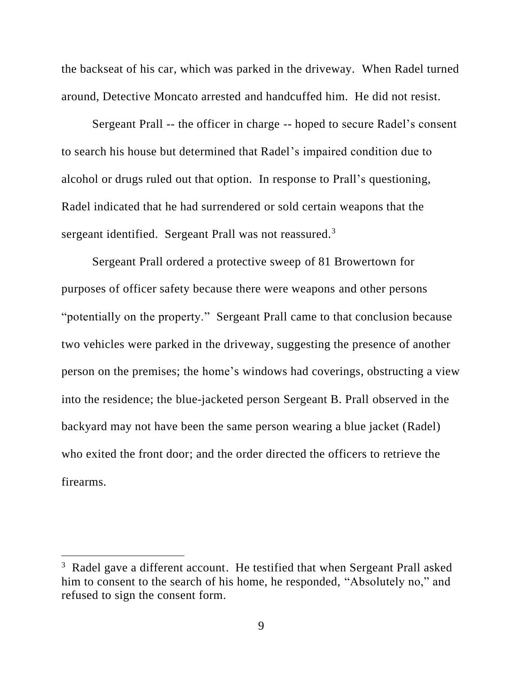the backseat of his car, which was parked in the driveway. When Radel turned around, Detective Moncato arrested and handcuffed him. He did not resist.

Sergeant Prall -- the officer in charge -- hoped to secure Radel's consent to search his house but determined that Radel's impaired condition due to alcohol or drugs ruled out that option. In response to Prall's questioning, Radel indicated that he had surrendered or sold certain weapons that the sergeant identified. Sergeant Prall was not reassured.<sup>3</sup>

Sergeant Prall ordered a protective sweep of 81 Browertown for purposes of officer safety because there were weapons and other persons "potentially on the property." Sergeant Prall came to that conclusion because two vehicles were parked in the driveway, suggesting the presence of another person on the premises; the home's windows had coverings, obstructing a view into the residence; the blue-jacketed person Sergeant B. Prall observed in the backyard may not have been the same person wearing a blue jacket (Radel) who exited the front door; and the order directed the officers to retrieve the firearms.

<sup>&</sup>lt;sup>3</sup> Radel gave a different account. He testified that when Sergeant Prall asked him to consent to the search of his home, he responded, "Absolutely no," and refused to sign the consent form.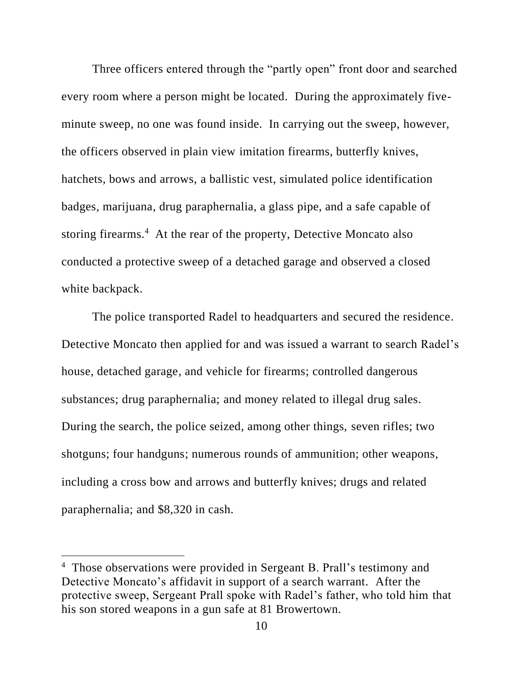Three officers entered through the "partly open" front door and searched every room where a person might be located. During the approximately fiveminute sweep, no one was found inside. In carrying out the sweep, however, the officers observed in plain view imitation firearms, butterfly knives, hatchets, bows and arrows, a ballistic vest, simulated police identification badges, marijuana, drug paraphernalia, a glass pipe, and a safe capable of storing firearms.<sup>4</sup> At the rear of the property, Detective Moncato also conducted a protective sweep of a detached garage and observed a closed white backpack.

The police transported Radel to headquarters and secured the residence. Detective Moncato then applied for and was issued a warrant to search Radel's house, detached garage, and vehicle for firearms; controlled dangerous substances; drug paraphernalia; and money related to illegal drug sales. During the search, the police seized, among other things, seven rifles; two shotguns; four handguns; numerous rounds of ammunition; other weapons, including a cross bow and arrows and butterfly knives; drugs and related paraphernalia; and \$8,320 in cash.

<sup>&</sup>lt;sup>4</sup> Those observations were provided in Sergeant B. Prall's testimony and Detective Moncato's affidavit in support of a search warrant. After the protective sweep, Sergeant Prall spoke with Radel's father, who told him that his son stored weapons in a gun safe at 81 Browertown.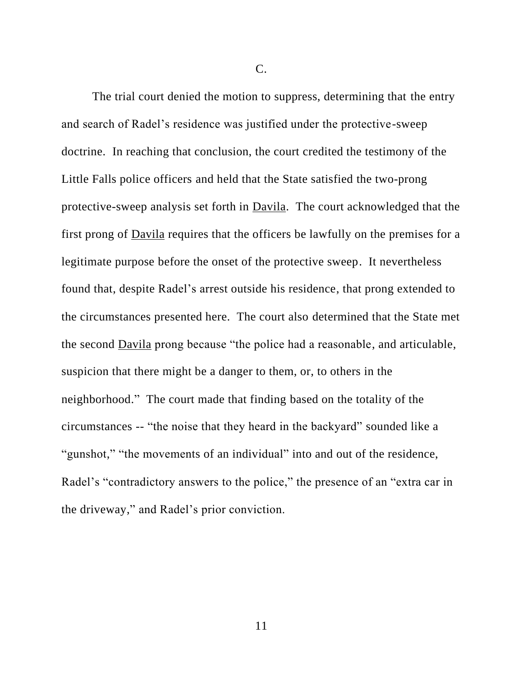C.

The trial court denied the motion to suppress, determining that the entry and search of Radel's residence was justified under the protective-sweep doctrine. In reaching that conclusion, the court credited the testimony of the Little Falls police officers and held that the State satisfied the two-prong protective-sweep analysis set forth in Davila. The court acknowledged that the first prong of Davila requires that the officers be lawfully on the premises for a legitimate purpose before the onset of the protective sweep. It nevertheless found that, despite Radel's arrest outside his residence, that prong extended to the circumstances presented here. The court also determined that the State met the second Davila prong because "the police had a reasonable, and articulable, suspicion that there might be a danger to them, or, to others in the neighborhood." The court made that finding based on the totality of the circumstances -- "the noise that they heard in the backyard" sounded like a "gunshot," "the movements of an individual" into and out of the residence, Radel's "contradictory answers to the police," the presence of an "extra car in the driveway," and Radel's prior conviction.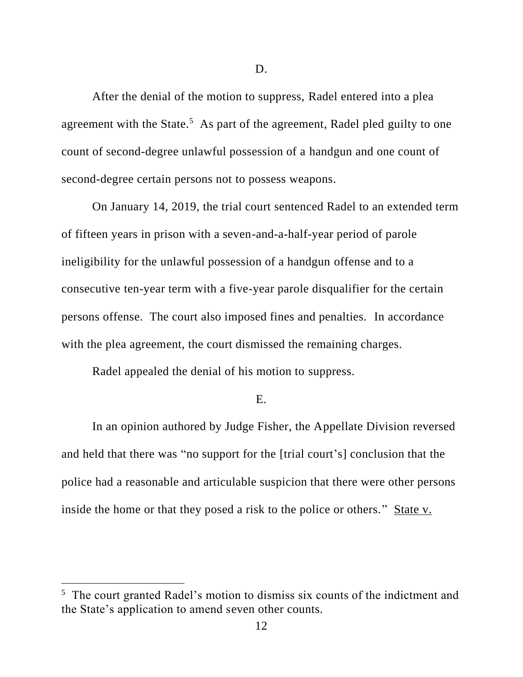After the denial of the motion to suppress, Radel entered into a plea agreement with the State.<sup>5</sup> As part of the agreement, Radel pled guilty to one count of second-degree unlawful possession of a handgun and one count of second-degree certain persons not to possess weapons.

On January 14, 2019, the trial court sentenced Radel to an extended term of fifteen years in prison with a seven-and-a-half-year period of parole ineligibility for the unlawful possession of a handgun offense and to a consecutive ten-year term with a five-year parole disqualifier for the certain persons offense. The court also imposed fines and penalties. In accordance with the plea agreement, the court dismissed the remaining charges.

Radel appealed the denial of his motion to suppress.

E.

In an opinion authored by Judge Fisher, the Appellate Division reversed and held that there was "no support for the [trial court's] conclusion that the police had a reasonable and articulable suspicion that there were other persons inside the home or that they posed a risk to the police or others." State v.

<sup>&</sup>lt;sup>5</sup> The court granted Radel's motion to dismiss six counts of the indictment and the State's application to amend seven other counts.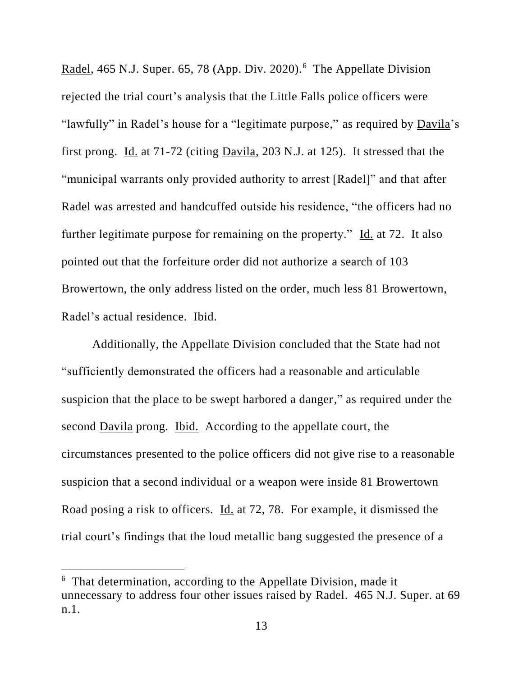Radel, 465 N.J. Super. 65, 78 (App. Div. 2020).<sup>6</sup> The Appellate Division rejected the trial court's analysis that the Little Falls police officers were "lawfully" in Radel's house for a "legitimate purpose," as required by Davila's first prong. Id. at 71-72 (citing Davila, 203 N.J. at 125). It stressed that the "municipal warrants only provided authority to arrest [Radel]" and that after Radel was arrested and handcuffed outside his residence, "the officers had no further legitimate purpose for remaining on the property." Id. at 72. It also pointed out that the forfeiture order did not authorize a search of 103 Browertown, the only address listed on the order, much less 81 Browertown, Radel's actual residence. Ibid.

Additionally, the Appellate Division concluded that the State had not "sufficiently demonstrated the officers had a reasonable and articulable suspicion that the place to be swept harbored a danger," as required under the second Davila prong. Ibid. According to the appellate court, the circumstances presented to the police officers did not give rise to a reasonable suspicion that a second individual or a weapon were inside 81 Browertown Road posing a risk to officers. Id. at 72, 78. For example, it dismissed the trial court's findings that the loud metallic bang suggested the presence of a

<sup>&</sup>lt;sup>6</sup> That determination, according to the Appellate Division, made it unnecessary to address four other issues raised by Radel. 465 N.J. Super. at 69 n.1.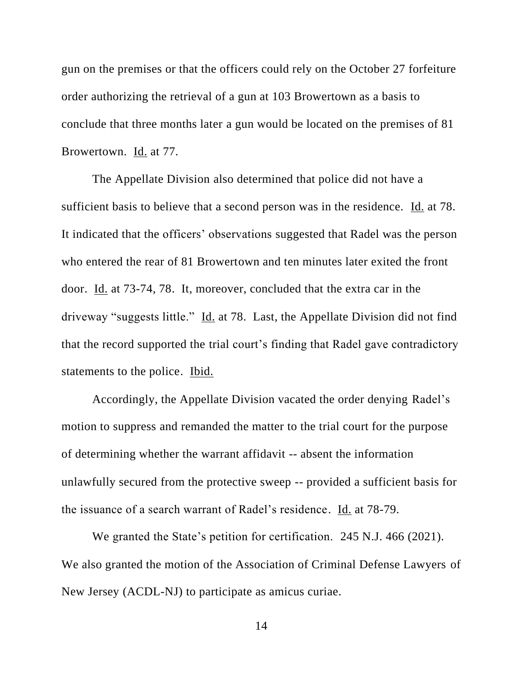gun on the premises or that the officers could rely on the October 27 forfeiture order authorizing the retrieval of a gun at 103 Browertown as a basis to conclude that three months later a gun would be located on the premises of 81 Browertown. Id. at 77.

The Appellate Division also determined that police did not have a sufficient basis to believe that a second person was in the residence. Id. at 78. It indicated that the officers' observations suggested that Radel was the person who entered the rear of 81 Browertown and ten minutes later exited the front door. Id. at 73-74, 78. It, moreover, concluded that the extra car in the driveway "suggests little." Id. at 78. Last, the Appellate Division did not find that the record supported the trial court's finding that Radel gave contradictory statements to the police. Ibid.

Accordingly, the Appellate Division vacated the order denying Radel's motion to suppress and remanded the matter to the trial court for the purpose of determining whether the warrant affidavit -- absent the information unlawfully secured from the protective sweep -- provided a sufficient basis for the issuance of a search warrant of Radel's residence. Id. at 78-79.

We granted the State's petition for certification. 245 N.J. 466 (2021). We also granted the motion of the Association of Criminal Defense Lawyers of New Jersey (ACDL-NJ) to participate as amicus curiae.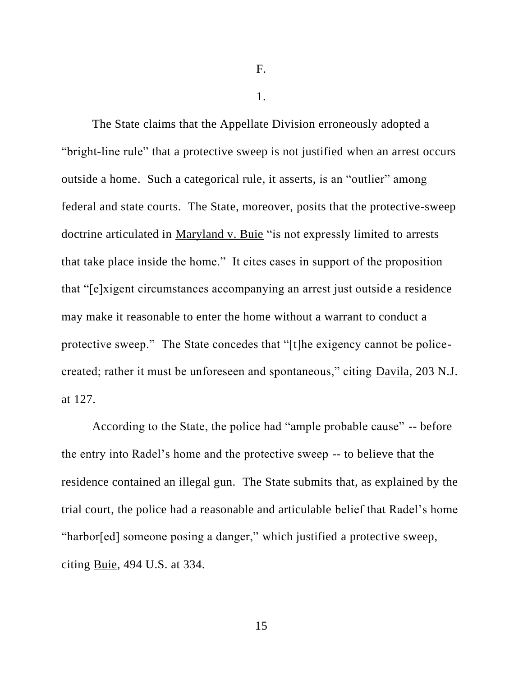F.

1.

The State claims that the Appellate Division erroneously adopted a "bright-line rule" that a protective sweep is not justified when an arrest occurs outside a home. Such a categorical rule, it asserts, is an "outlier" among federal and state courts. The State, moreover, posits that the protective-sweep doctrine articulated in Maryland v. Buie "is not expressly limited to arrests that take place inside the home." It cites cases in support of the proposition that "[e]xigent circumstances accompanying an arrest just outside a residence may make it reasonable to enter the home without a warrant to conduct a protective sweep." The State concedes that "[t]he exigency cannot be policecreated; rather it must be unforeseen and spontaneous," citing Davila, 203 N.J. at 127.

According to the State, the police had "ample probable cause" -- before the entry into Radel's home and the protective sweep -- to believe that the residence contained an illegal gun. The State submits that, as explained by the trial court, the police had a reasonable and articulable belief that Radel's home "harbor[ed] someone posing a danger," which justified a protective sweep, citing Buie, 494 U.S. at 334.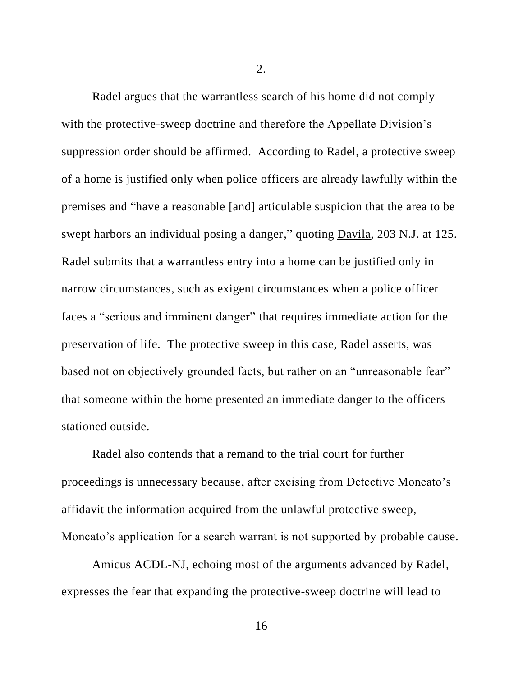2.

Radel argues that the warrantless search of his home did not comply with the protective-sweep doctrine and therefore the Appellate Division's suppression order should be affirmed. According to Radel, a protective sweep of a home is justified only when police officers are already lawfully within the premises and "have a reasonable [and] articulable suspicion that the area to be swept harbors an individual posing a danger," quoting Davila, 203 N.J. at 125. Radel submits that a warrantless entry into a home can be justified only in narrow circumstances, such as exigent circumstances when a police officer faces a "serious and imminent danger" that requires immediate action for the preservation of life. The protective sweep in this case, Radel asserts, was based not on objectively grounded facts, but rather on an "unreasonable fear" that someone within the home presented an immediate danger to the officers stationed outside.

Radel also contends that a remand to the trial court for further proceedings is unnecessary because, after excising from Detective Moncato's affidavit the information acquired from the unlawful protective sweep, Moncato's application for a search warrant is not supported by probable cause.

Amicus ACDL-NJ, echoing most of the arguments advanced by Radel, expresses the fear that expanding the protective-sweep doctrine will lead to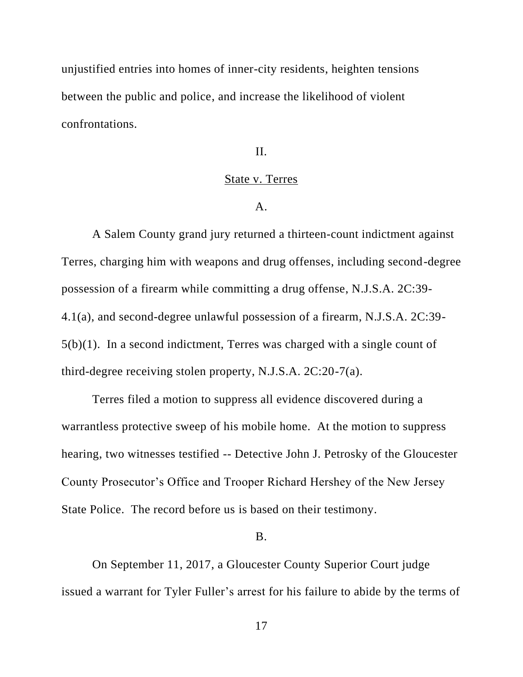unjustified entries into homes of inner-city residents, heighten tensions between the public and police, and increase the likelihood of violent confrontations.

II.

### State v. Terres

A.

A Salem County grand jury returned a thirteen-count indictment against Terres, charging him with weapons and drug offenses, including second-degree possession of a firearm while committing a drug offense, N.J.S.A. 2C:39- 4.1(a), and second-degree unlawful possession of a firearm, N.J.S.A. 2C:39- 5(b)(1). In a second indictment, Terres was charged with a single count of third-degree receiving stolen property, N.J.S.A. 2C:20-7(a).

Terres filed a motion to suppress all evidence discovered during a warrantless protective sweep of his mobile home. At the motion to suppress hearing, two witnesses testified -- Detective John J. Petrosky of the Gloucester County Prosecutor's Office and Trooper Richard Hershey of the New Jersey State Police. The record before us is based on their testimony.

#### B.

On September 11, 2017, a Gloucester County Superior Court judge issued a warrant for Tyler Fuller's arrest for his failure to abide by the terms of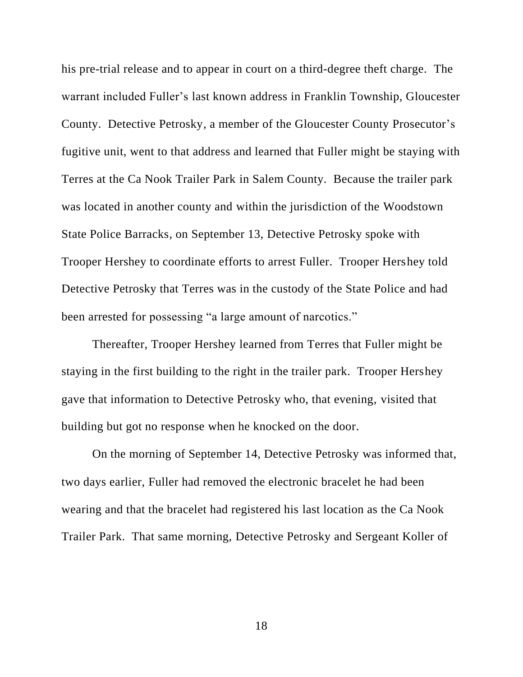his pre-trial release and to appear in court on a third-degree theft charge. The warrant included Fuller's last known address in Franklin Township, Gloucester County. Detective Petrosky, a member of the Gloucester County Prosecutor's fugitive unit, went to that address and learned that Fuller might be staying with Terres at the Ca Nook Trailer Park in Salem County. Because the trailer park was located in another county and within the jurisdiction of the Woodstown State Police Barracks, on September 13, Detective Petrosky spoke with Trooper Hershey to coordinate efforts to arrest Fuller. Trooper Hershey told Detective Petrosky that Terres was in the custody of the State Police and had been arrested for possessing "a large amount of narcotics."

Thereafter, Trooper Hershey learned from Terres that Fuller might be staying in the first building to the right in the trailer park. Trooper Hershey gave that information to Detective Petrosky who, that evening, visited that building but got no response when he knocked on the door.

On the morning of September 14, Detective Petrosky was informed that, two days earlier, Fuller had removed the electronic bracelet he had been wearing and that the bracelet had registered his last location as the Ca Nook Trailer Park. That same morning, Detective Petrosky and Sergeant Koller of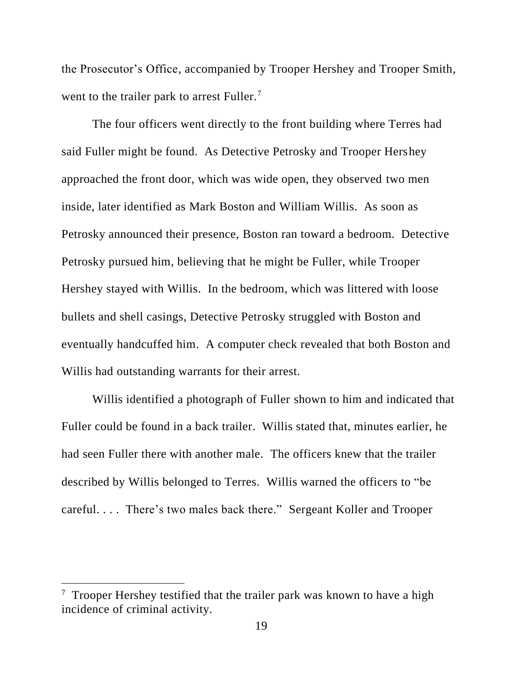the Prosecutor's Office, accompanied by Trooper Hershey and Trooper Smith, went to the trailer park to arrest Fuller. $<sup>7</sup>$ </sup>

The four officers went directly to the front building where Terres had said Fuller might be found. As Detective Petrosky and Trooper Hershey approached the front door, which was wide open, they observed two men inside, later identified as Mark Boston and William Willis. As soon as Petrosky announced their presence, Boston ran toward a bedroom. Detective Petrosky pursued him, believing that he might be Fuller, while Trooper Hershey stayed with Willis. In the bedroom, which was littered with loose bullets and shell casings, Detective Petrosky struggled with Boston and eventually handcuffed him. A computer check revealed that both Boston and Willis had outstanding warrants for their arrest.

Willis identified a photograph of Fuller shown to him and indicated that Fuller could be found in a back trailer. Willis stated that, minutes earlier, he had seen Fuller there with another male. The officers knew that the trailer described by Willis belonged to Terres. Willis warned the officers to "be careful. . . . There's two males back there." Sergeant Koller and Trooper

 $7$  Trooper Hershey testified that the trailer park was known to have a high incidence of criminal activity.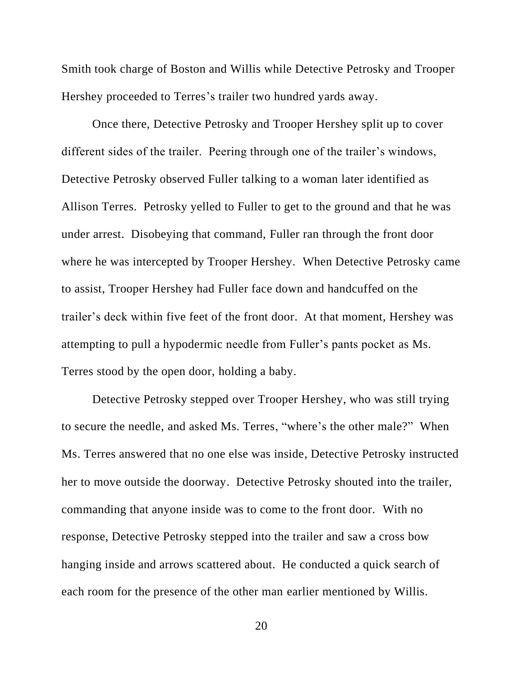Smith took charge of Boston and Willis while Detective Petrosky and Trooper Hershey proceeded to Terres's trailer two hundred yards away.

Once there, Detective Petrosky and Trooper Hershey split up to cover different sides of the trailer. Peering through one of the trailer's windows, Detective Petrosky observed Fuller talking to a woman later identified as Allison Terres. Petrosky yelled to Fuller to get to the ground and that he was under arrest. Disobeying that command, Fuller ran through the front door where he was intercepted by Trooper Hershey. When Detective Petrosky came to assist, Trooper Hershey had Fuller face down and handcuffed on the trailer's deck within five feet of the front door. At that moment, Hershey was attempting to pull a hypodermic needle from Fuller's pants pocket as Ms. Terres stood by the open door, holding a baby.

Detective Petrosky stepped over Trooper Hershey, who was still trying to secure the needle, and asked Ms. Terres, "where's the other male?" When Ms. Terres answered that no one else was inside, Detective Petrosky instructed her to move outside the doorway. Detective Petrosky shouted into the trailer, commanding that anyone inside was to come to the front door. With no response, Detective Petrosky stepped into the trailer and saw a cross bow hanging inside and arrows scattered about. He conducted a quick search of each room for the presence of the other man earlier mentioned by Willis.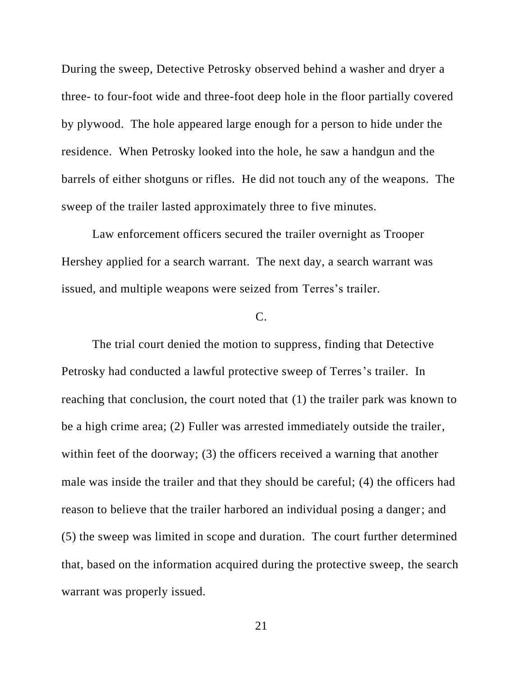During the sweep, Detective Petrosky observed behind a washer and dryer a three- to four-foot wide and three-foot deep hole in the floor partially covered by plywood. The hole appeared large enough for a person to hide under the residence. When Petrosky looked into the hole, he saw a handgun and the barrels of either shotguns or rifles. He did not touch any of the weapons. The sweep of the trailer lasted approximately three to five minutes.

Law enforcement officers secured the trailer overnight as Trooper Hershey applied for a search warrant. The next day, a search warrant was issued, and multiple weapons were seized from Terres's trailer.

## C.

The trial court denied the motion to suppress, finding that Detective Petrosky had conducted a lawful protective sweep of Terres's trailer. In reaching that conclusion, the court noted that (1) the trailer park was known to be a high crime area; (2) Fuller was arrested immediately outside the trailer, within feet of the doorway; (3) the officers received a warning that another male was inside the trailer and that they should be careful; (4) the officers had reason to believe that the trailer harbored an individual posing a danger; and (5) the sweep was limited in scope and duration. The court further determined that, based on the information acquired during the protective sweep, the search warrant was properly issued.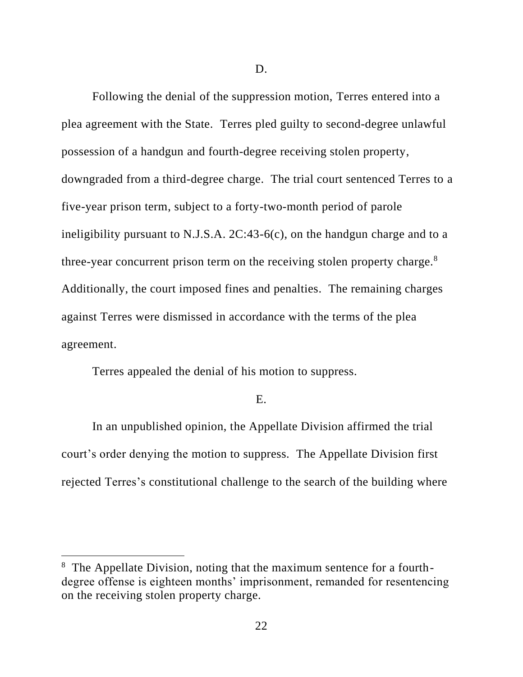D.

Following the denial of the suppression motion, Terres entered into a plea agreement with the State. Terres pled guilty to second-degree unlawful possession of a handgun and fourth-degree receiving stolen property, downgraded from a third-degree charge. The trial court sentenced Terres to a five-year prison term, subject to a forty-two-month period of parole ineligibility pursuant to N.J.S.A. 2C:43-6(c), on the handgun charge and to a three-year concurrent prison term on the receiving stolen property charge. $8$ Additionally, the court imposed fines and penalties. The remaining charges against Terres were dismissed in accordance with the terms of the plea agreement.

Terres appealed the denial of his motion to suppress.

### E.

In an unpublished opinion, the Appellate Division affirmed the trial court's order denying the motion to suppress. The Appellate Division first rejected Terres's constitutional challenge to the search of the building where

<sup>&</sup>lt;sup>8</sup> The Appellate Division, noting that the maximum sentence for a fourthdegree offense is eighteen months' imprisonment, remanded for resentencing on the receiving stolen property charge.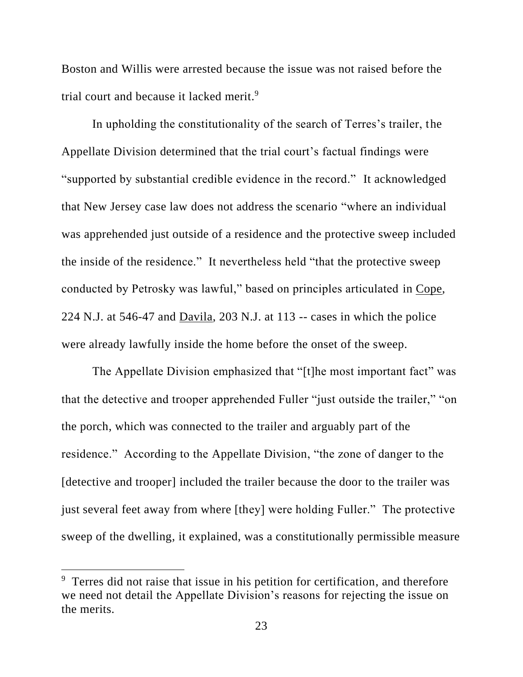Boston and Willis were arrested because the issue was not raised before the trial court and because it lacked merit.<sup>9</sup>

In upholding the constitutionality of the search of Terres's trailer, the Appellate Division determined that the trial court's factual findings were "supported by substantial credible evidence in the record." It acknowledged that New Jersey case law does not address the scenario "where an individual was apprehended just outside of a residence and the protective sweep included the inside of the residence." It nevertheless held "that the protective sweep conducted by Petrosky was lawful," based on principles articulated in Cope, 224 N.J. at 546-47 and Davila, 203 N.J. at 113 -- cases in which the police were already lawfully inside the home before the onset of the sweep.

The Appellate Division emphasized that "[t]he most important fact" was that the detective and trooper apprehended Fuller "just outside the trailer," "on the porch, which was connected to the trailer and arguably part of the residence." According to the Appellate Division, "the zone of danger to the [detective and trooper] included the trailer because the door to the trailer was just several feet away from where [they] were holding Fuller." The protective sweep of the dwelling, it explained, was a constitutionally permissible measure

<sup>&</sup>lt;sup>9</sup> Terres did not raise that issue in his petition for certification, and therefore we need not detail the Appellate Division's reasons for rejecting the issue on the merits.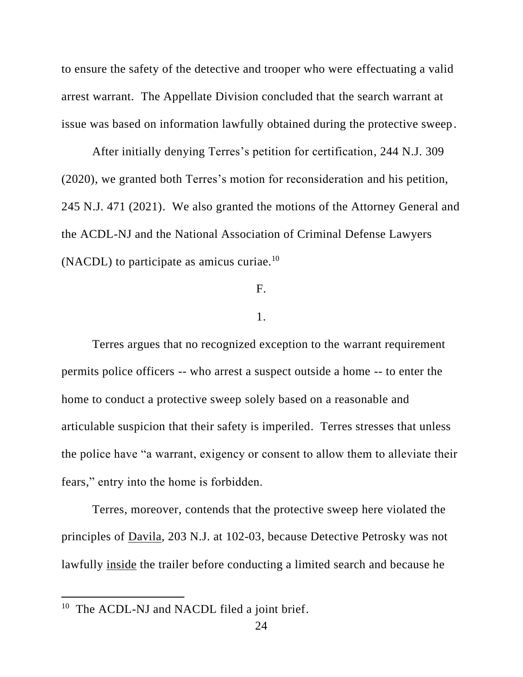to ensure the safety of the detective and trooper who were effectuating a valid arrest warrant. The Appellate Division concluded that the search warrant at issue was based on information lawfully obtained during the protective sweep.

After initially denying Terres's petition for certification, 244 N.J. 309 (2020), we granted both Terres's motion for reconsideration and his petition, 245 N.J. 471 (2021). We also granted the motions of the Attorney General and the ACDL-NJ and the National Association of Criminal Defense Lawyers (NACDL) to participate as amicus curiae.<sup>10</sup>

#### F.

#### 1.

Terres argues that no recognized exception to the warrant requirement permits police officers -- who arrest a suspect outside a home -- to enter the home to conduct a protective sweep solely based on a reasonable and articulable suspicion that their safety is imperiled. Terres stresses that unless the police have "a warrant, exigency or consent to allow them to alleviate their fears," entry into the home is forbidden.

Terres, moreover, contends that the protective sweep here violated the principles of Davila, 203 N.J. at 102-03, because Detective Petrosky was not lawfully inside the trailer before conducting a limited search and because he

<sup>&</sup>lt;sup>10</sup> The ACDL-NJ and NACDL filed a joint brief.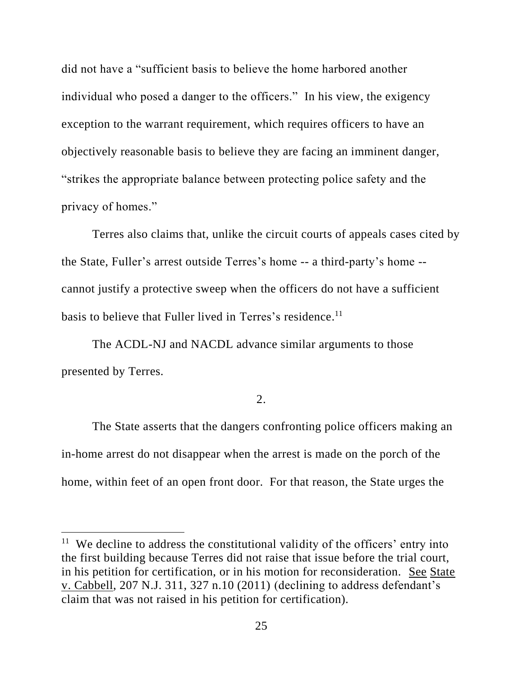did not have a "sufficient basis to believe the home harbored another individual who posed a danger to the officers." In his view, the exigency exception to the warrant requirement, which requires officers to have an objectively reasonable basis to believe they are facing an imminent danger, "strikes the appropriate balance between protecting police safety and the privacy of homes."

Terres also claims that, unlike the circuit courts of appeals cases cited by the State, Fuller's arrest outside Terres's home -- a third-party's home - cannot justify a protective sweep when the officers do not have a sufficient basis to believe that Fuller lived in Terres's residence.<sup>11</sup>

The ACDL-NJ and NACDL advance similar arguments to those presented by Terres.

### 2.

The State asserts that the dangers confronting police officers making an in-home arrest do not disappear when the arrest is made on the porch of the home, within feet of an open front door. For that reason, the State urges the

<sup>&</sup>lt;sup>11</sup> We decline to address the constitutional validity of the officers' entry into the first building because Terres did not raise that issue before the trial court, in his petition for certification, or in his motion for reconsideration. See State v. Cabbell, 207 N.J. 311, 327 n.10 (2011) (declining to address defendant's claim that was not raised in his petition for certification).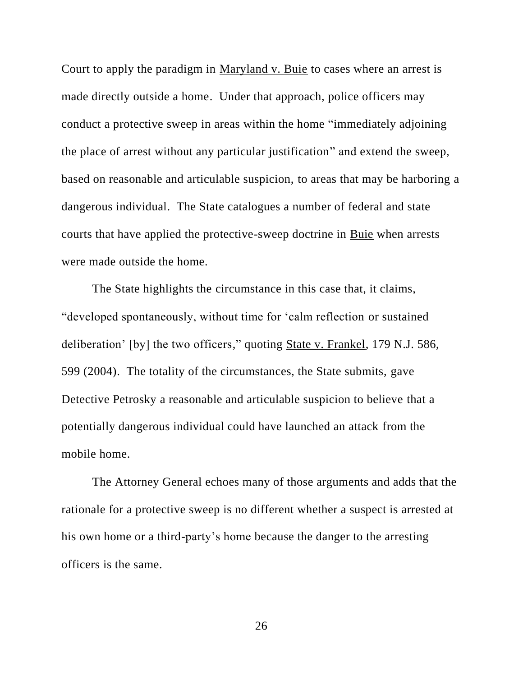Court to apply the paradigm in Maryland v. Buie to cases where an arrest is made directly outside a home. Under that approach, police officers may conduct a protective sweep in areas within the home "immediately adjoining the place of arrest without any particular justification" and extend the sweep, based on reasonable and articulable suspicion, to areas that may be harboring a dangerous individual. The State catalogues a number of federal and state courts that have applied the protective-sweep doctrine in Buie when arrests were made outside the home.

The State highlights the circumstance in this case that, it claims, "developed spontaneously, without time for 'calm reflection or sustained deliberation' [by] the two officers," quoting State v. Frankel, 179 N.J. 586, 599 (2004). The totality of the circumstances, the State submits, gave Detective Petrosky a reasonable and articulable suspicion to believe that a potentially dangerous individual could have launched an attack from the mobile home.

The Attorney General echoes many of those arguments and adds that the rationale for a protective sweep is no different whether a suspect is arrested at his own home or a third-party's home because the danger to the arresting officers is the same.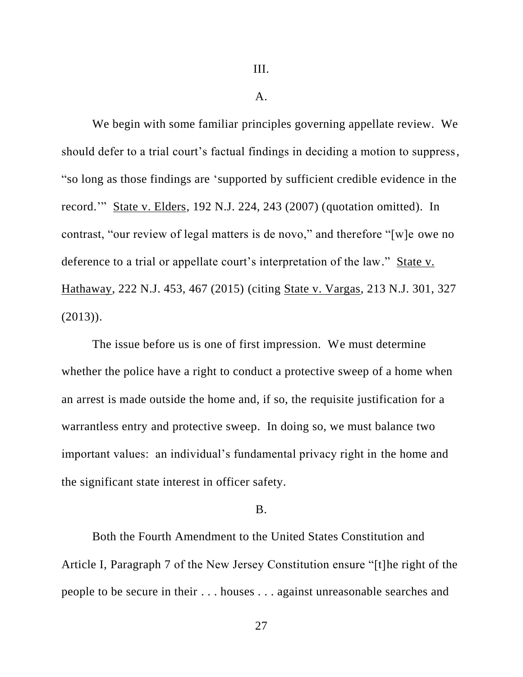#### A.

We begin with some familiar principles governing appellate review. We should defer to a trial court's factual findings in deciding a motion to suppress, "so long as those findings are 'supported by sufficient credible evidence in the record.'" State v. Elders, 192 N.J. 224, 243 (2007) (quotation omitted). In contrast, "our review of legal matters is de novo," and therefore "[w]e owe no deference to a trial or appellate court's interpretation of the law." State v. Hathaway, 222 N.J. 453, 467 (2015) (citing State v. Vargas, 213 N.J. 301, 327 (2013)).

The issue before us is one of first impression. We must determine whether the police have a right to conduct a protective sweep of a home when an arrest is made outside the home and, if so, the requisite justification for a warrantless entry and protective sweep. In doing so, we must balance two important values: an individual's fundamental privacy right in the home and the significant state interest in officer safety.

### B.

Both the Fourth Amendment to the United States Constitution and Article I, Paragraph 7 of the New Jersey Constitution ensure "[t]he right of the people to be secure in their . . . houses . . . against unreasonable searches and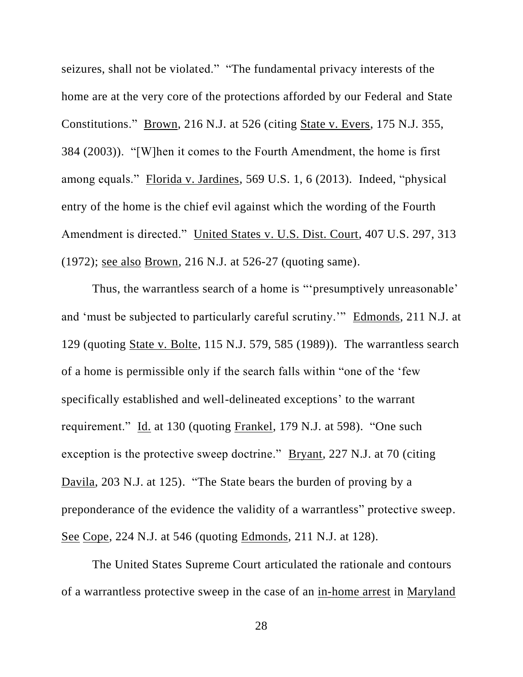seizures, shall not be violated." "The fundamental privacy interests of the home are at the very core of the protections afforded by our Federal and State Constitutions." Brown, 216 N.J. at 526 (citing State v. Evers, 175 N.J. 355, 384 (2003)). "[W]hen it comes to the Fourth Amendment, the home is first among equals." Florida v. Jardines, 569 U.S. 1, 6 (2013). Indeed, "physical entry of the home is the chief evil against which the wording of the Fourth Amendment is directed." United States v. U.S. Dist. Court, 407 U.S. 297, 313 (1972); see also Brown, 216 N.J. at 526-27 (quoting same).

Thus, the warrantless search of a home is "'presumptively unreasonable' and 'must be subjected to particularly careful scrutiny.'" Edmonds, 211 N.J. at 129 (quoting State v. Bolte, 115 N.J. 579, 585 (1989)). The warrantless search of a home is permissible only if the search falls within "one of the 'few specifically established and well-delineated exceptions' to the warrant requirement." Id. at 130 (quoting Frankel, 179 N.J. at 598). "One such exception is the protective sweep doctrine." Bryant, 227 N.J. at 70 (citing Davila, 203 N.J. at 125). "The State bears the burden of proving by a preponderance of the evidence the validity of a warrantless" protective sweep. See Cope, 224 N.J. at 546 (quoting Edmonds, 211 N.J. at 128).

The United States Supreme Court articulated the rationale and contours of a warrantless protective sweep in the case of an in-home arrest in Maryland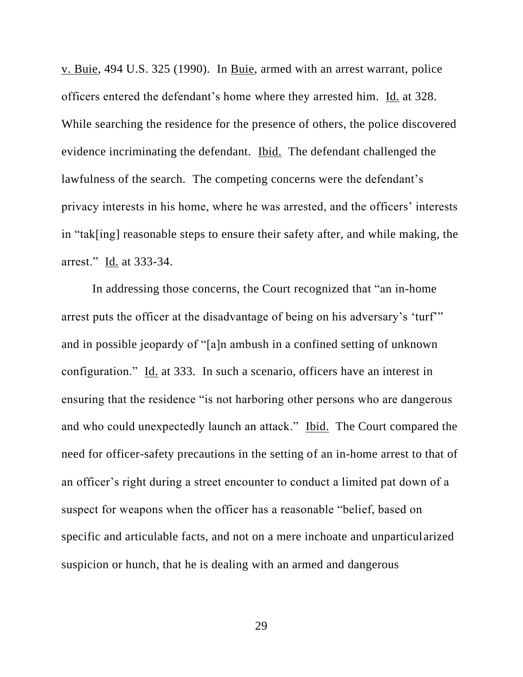v. Buie, 494 U.S. 325 (1990). In Buie, armed with an arrest warrant, police officers entered the defendant's home where they arrested him. Id. at 328. While searching the residence for the presence of others, the police discovered evidence incriminating the defendant. Ibid. The defendant challenged the lawfulness of the search. The competing concerns were the defendant's privacy interests in his home, where he was arrested, and the officers' interests in "tak[ing] reasonable steps to ensure their safety after, and while making, the arrest." Id. at 333-34.

In addressing those concerns, the Court recognized that "an in-home arrest puts the officer at the disadvantage of being on his adversary's 'turf'" and in possible jeopardy of "[a]n ambush in a confined setting of unknown configuration." Id. at 333. In such a scenario, officers have an interest in ensuring that the residence "is not harboring other persons who are dangerous and who could unexpectedly launch an attack." <u>Ibid.</u> The Court compared the need for officer-safety precautions in the setting of an in-home arrest to that of an officer's right during a street encounter to conduct a limited pat down of a suspect for weapons when the officer has a reasonable "belief, based on specific and articulable facts, and not on a mere inchoate and unparticularized suspicion or hunch, that he is dealing with an armed and dangerous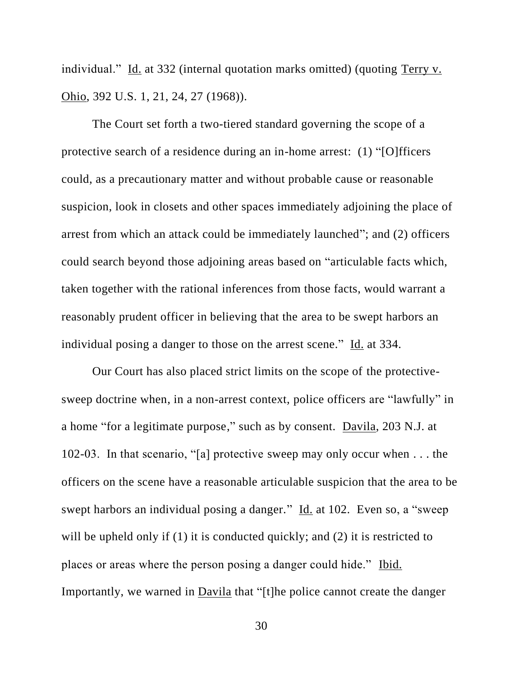individual." Id. at 332 (internal quotation marks omitted) (quoting Terry v. Ohio, 392 U.S. 1, 21, 24, 27 (1968)).

The Court set forth a two-tiered standard governing the scope of a protective search of a residence during an in-home arrest: (1) "[O]fficers could, as a precautionary matter and without probable cause or reasonable suspicion, look in closets and other spaces immediately adjoining the place of arrest from which an attack could be immediately launched"; and (2) officers could search beyond those adjoining areas based on "articulable facts which, taken together with the rational inferences from those facts, would warrant a reasonably prudent officer in believing that the area to be swept harbors an individual posing a danger to those on the arrest scene." Id. at 334.

Our Court has also placed strict limits on the scope of the protectivesweep doctrine when, in a non-arrest context, police officers are "lawfully" in a home "for a legitimate purpose," such as by consent. Davila, 203 N.J. at 102-03. In that scenario, "[a] protective sweep may only occur when . . . the officers on the scene have a reasonable articulable suspicion that the area to be swept harbors an individual posing a danger." Id. at 102. Even so, a "sweep will be upheld only if (1) it is conducted quickly; and (2) it is restricted to places or areas where the person posing a danger could hide." Ibid. Importantly, we warned in Davila that "[t]he police cannot create the danger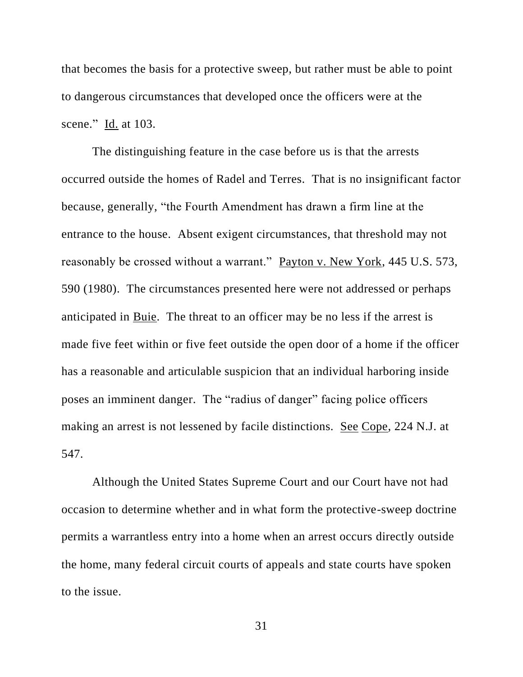that becomes the basis for a protective sweep, but rather must be able to point to dangerous circumstances that developed once the officers were at the scene." Id. at 103.

The distinguishing feature in the case before us is that the arrests occurred outside the homes of Radel and Terres. That is no insignificant factor because, generally, "the Fourth Amendment has drawn a firm line at the entrance to the house. Absent exigent circumstances, that threshold may not reasonably be crossed without a warrant." Payton v. New York, 445 U.S. 573, 590 (1980). The circumstances presented here were not addressed or perhaps anticipated in Buie. The threat to an officer may be no less if the arrest is made five feet within or five feet outside the open door of a home if the officer has a reasonable and articulable suspicion that an individual harboring inside poses an imminent danger. The "radius of danger" facing police officers making an arrest is not lessened by facile distinctions. See Cope, 224 N.J. at 547.

Although the United States Supreme Court and our Court have not had occasion to determine whether and in what form the protective-sweep doctrine permits a warrantless entry into a home when an arrest occurs directly outside the home, many federal circuit courts of appeals and state courts have spoken to the issue.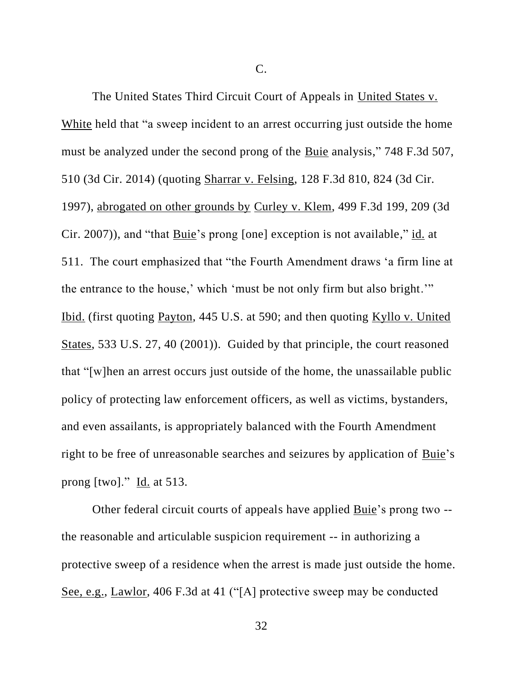C.

The United States Third Circuit Court of Appeals in United States v. White held that "a sweep incident to an arrest occurring just outside the home must be analyzed under the second prong of the Buie analysis," 748 F.3d 507, 510 (3d Cir. 2014) (quoting Sharrar v. Felsing, 128 F.3d 810, 824 (3d Cir. 1997), abrogated on other grounds by Curley v. Klem, 499 F.3d 199, 209 (3d Cir. 2007)), and "that Buie's prong [one] exception is not available," id. at 511. The court emphasized that "the Fourth Amendment draws 'a firm line at the entrance to the house,' which 'must be not only firm but also bright.'" Ibid. (first quoting Payton, 445 U.S. at 590; and then quoting Kyllo v. United States, 533 U.S. 27, 40 (2001)). Guided by that principle, the court reasoned that "[w]hen an arrest occurs just outside of the home, the unassailable public policy of protecting law enforcement officers, as well as victims, bystanders, and even assailants, is appropriately balanced with the Fourth Amendment right to be free of unreasonable searches and seizures by application of Buie's prong [two]."  $\underline{Id}$ . at 513.

Other federal circuit courts of appeals have applied Buie's prong two -the reasonable and articulable suspicion requirement -- in authorizing a protective sweep of a residence when the arrest is made just outside the home. See, e.g., Lawlor, 406 F.3d at 41 ("[A] protective sweep may be conducted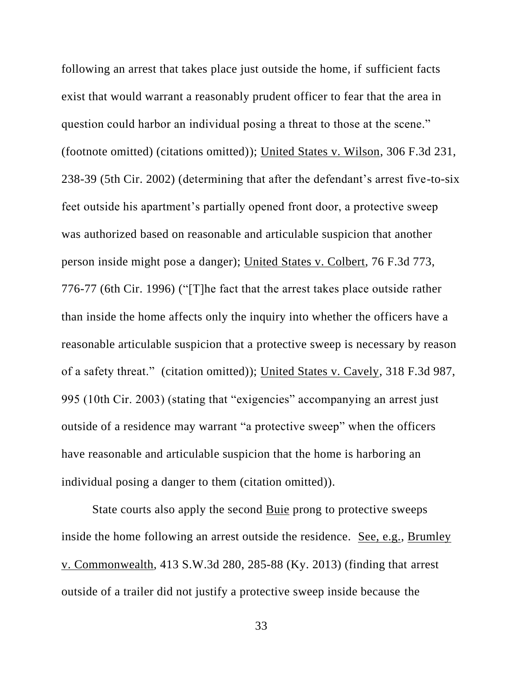following an arrest that takes place just outside the home, if sufficient facts exist that would warrant a reasonably prudent officer to fear that the area in question could harbor an individual posing a threat to those at the scene." (footnote omitted) (citations omitted)); United States v. Wilson, 306 F.3d 231, 238-39 (5th Cir. 2002) (determining that after the defendant's arrest five-to-six feet outside his apartment's partially opened front door, a protective sweep was authorized based on reasonable and articulable suspicion that another person inside might pose a danger); United States v. Colbert, 76 F.3d 773, 776-77 (6th Cir. 1996) ("[T]he fact that the arrest takes place outside rather than inside the home affects only the inquiry into whether the officers have a reasonable articulable suspicion that a protective sweep is necessary by reason of a safety threat." (citation omitted)); United States v. Cavely, 318 F.3d 987, 995 (10th Cir. 2003) (stating that "exigencies" accompanying an arrest just outside of a residence may warrant "a protective sweep" when the officers have reasonable and articulable suspicion that the home is harboring an individual posing a danger to them (citation omitted)).

State courts also apply the second Buie prong to protective sweeps inside the home following an arrest outside the residence. See, e.g., Brumley v. Commonwealth, 413 S.W.3d 280, 285-88 (Ky. 2013) (finding that arrest outside of a trailer did not justify a protective sweep inside because the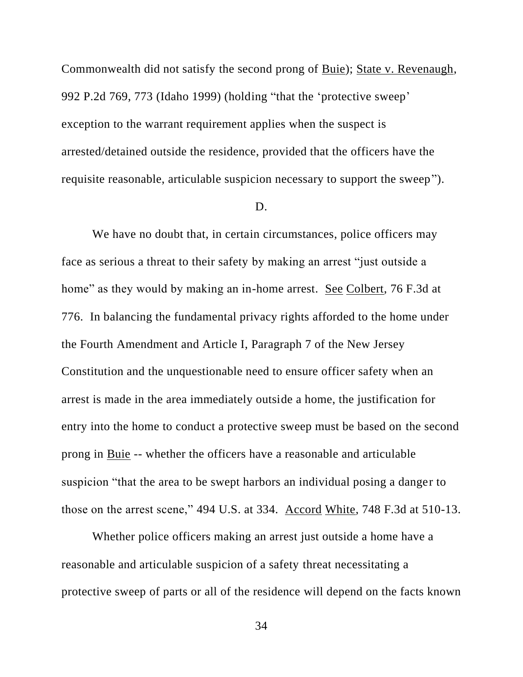Commonwealth did not satisfy the second prong of Buie); State v. Revenaugh, 992 P.2d 769, 773 (Idaho 1999) (holding "that the 'protective sweep' exception to the warrant requirement applies when the suspect is arrested/detained outside the residence, provided that the officers have the requisite reasonable, articulable suspicion necessary to support the sweep").

#### D.

We have no doubt that, in certain circumstances, police officers may face as serious a threat to their safety by making an arrest "just outside a home" as they would by making an in-home arrest. See Colbert, 76 F.3d at 776. In balancing the fundamental privacy rights afforded to the home under the Fourth Amendment and Article I, Paragraph 7 of the New Jersey Constitution and the unquestionable need to ensure officer safety when an arrest is made in the area immediately outside a home, the justification for entry into the home to conduct a protective sweep must be based on the second prong in Buie -- whether the officers have a reasonable and articulable suspicion "that the area to be swept harbors an individual posing a danger to those on the arrest scene," 494 U.S. at 334. Accord White, 748 F.3d at 510-13.

Whether police officers making an arrest just outside a home have a reasonable and articulable suspicion of a safety threat necessitating a protective sweep of parts or all of the residence will depend on the facts known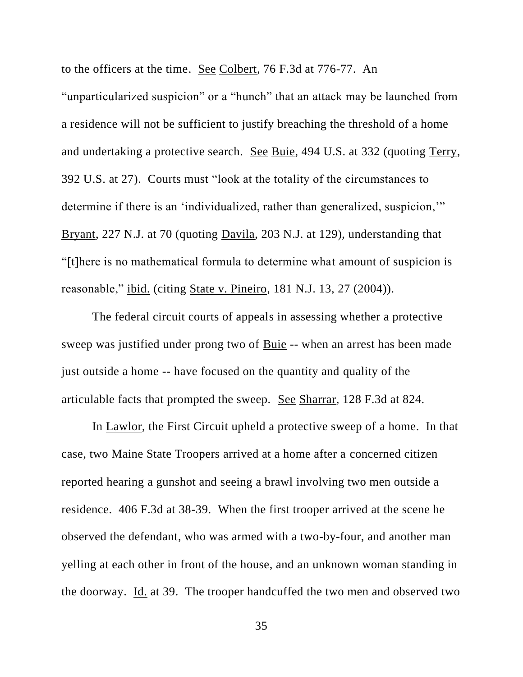to the officers at the time. See Colbert, 76 F.3d at 776-77. An "unparticularized suspicion" or a "hunch" that an attack may be launched from a residence will not be sufficient to justify breaching the threshold of a home and undertaking a protective search. See Buie, 494 U.S. at 332 (quoting Terry, 392 U.S. at 27). Courts must "look at the totality of the circumstances to determine if there is an 'individualized, rather than generalized, suspicion,'" Bryant, 227 N.J. at 70 (quoting Davila, 203 N.J. at 129), understanding that "[t]here is no mathematical formula to determine what amount of suspicion is reasonable," ibid. (citing State v. Pineiro, 181 N.J. 13, 27 (2004)).

The federal circuit courts of appeals in assessing whether a protective sweep was justified under prong two of Buie -- when an arrest has been made just outside a home -- have focused on the quantity and quality of the articulable facts that prompted the sweep. See Sharrar, 128 F.3d at 824.

In <u>Lawlor</u>, the First Circuit upheld a protective sweep of a home. In that case, two Maine State Troopers arrived at a home after a concerned citizen reported hearing a gunshot and seeing a brawl involving two men outside a residence. 406 F.3d at 38-39. When the first trooper arrived at the scene he observed the defendant, who was armed with a two-by-four, and another man yelling at each other in front of the house, and an unknown woman standing in the doorway. Id. at 39. The trooper handcuffed the two men and observed two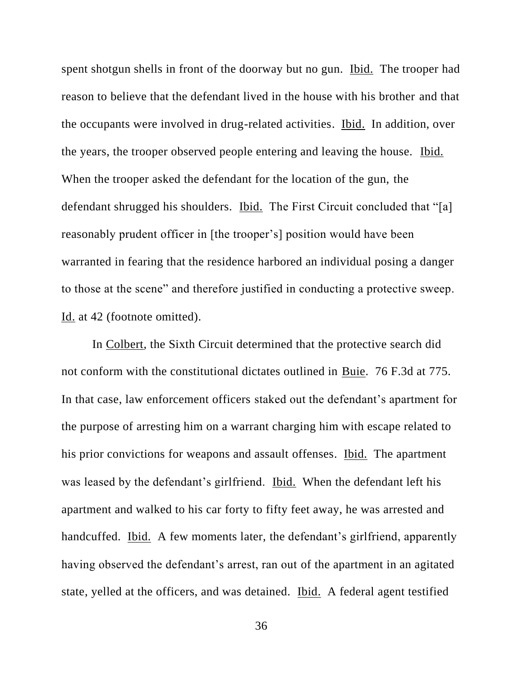spent shotgun shells in front of the doorway but no gun. Ibid. The trooper had reason to believe that the defendant lived in the house with his brother and that the occupants were involved in drug-related activities. Ibid. In addition, over the years, the trooper observed people entering and leaving the house. Ibid. When the trooper asked the defendant for the location of the gun, the defendant shrugged his shoulders. Ibid. The First Circuit concluded that "[a] reasonably prudent officer in [the trooper's] position would have been warranted in fearing that the residence harbored an individual posing a danger to those at the scene" and therefore justified in conducting a protective sweep. Id. at 42 (footnote omitted).

In Colbert, the Sixth Circuit determined that the protective search did not conform with the constitutional dictates outlined in Buie. 76 F.3d at 775. In that case, law enforcement officers staked out the defendant's apartment for the purpose of arresting him on a warrant charging him with escape related to his prior convictions for weapons and assault offenses. Ibid. The apartment was leased by the defendant's girlfriend. Ibid. When the defendant left his apartment and walked to his car forty to fifty feet away, he was arrested and handcuffed. Ibid. A few moments later, the defendant's girlfriend, apparently having observed the defendant's arrest, ran out of the apartment in an agitated state, yelled at the officers, and was detained. Ibid. A federal agent testified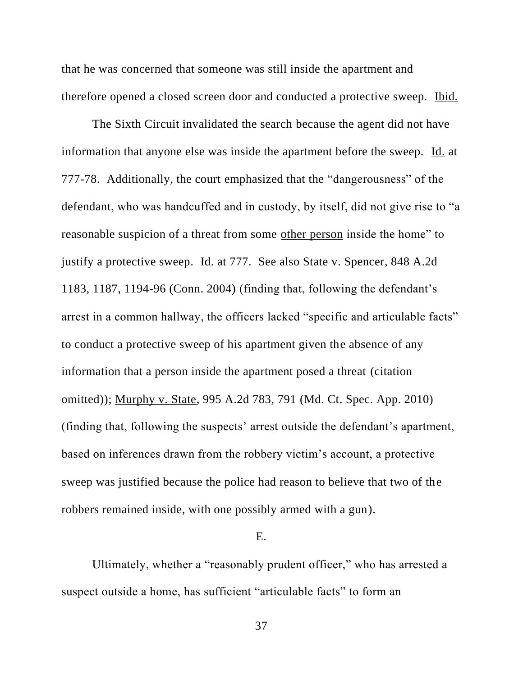that he was concerned that someone was still inside the apartment and therefore opened a closed screen door and conducted a protective sweep. Ibid.

The Sixth Circuit invalidated the search because the agent did not have information that anyone else was inside the apartment before the sweep. Id. at 777-78. Additionally, the court emphasized that the "dangerousness" of the defendant, who was handcuffed and in custody, by itself, did not give rise to "a reasonable suspicion of a threat from some other person inside the home" to justify a protective sweep. Id. at 777. See also State v. Spencer, 848 A.2d 1183, 1187, 1194-96 (Conn. 2004) (finding that, following the defendant's arrest in a common hallway, the officers lacked "specific and articulable facts" to conduct a protective sweep of his apartment given the absence of any information that a person inside the apartment posed a threat (citation omitted)); Murphy v. State, 995 A.2d 783, 791 (Md. Ct. Spec. App. 2010) (finding that, following the suspects' arrest outside the defendant's apartment, based on inferences drawn from the robbery victim's account, a protective sweep was justified because the police had reason to believe that two of the robbers remained inside, with one possibly armed with a gun).

### E.

Ultimately, whether a "reasonably prudent officer," who has arrested a suspect outside a home, has sufficient "articulable facts" to form an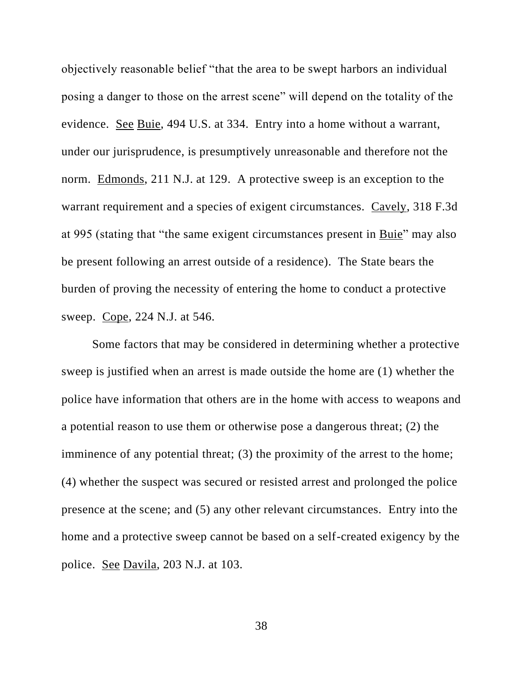objectively reasonable belief "that the area to be swept harbors an individual posing a danger to those on the arrest scene" will depend on the totality of the evidence. See Buie, 494 U.S. at 334. Entry into a home without a warrant, under our jurisprudence, is presumptively unreasonable and therefore not the norm. Edmonds, 211 N.J. at 129. A protective sweep is an exception to the warrant requirement and a species of exigent circumstances. Cavely, 318 F.3d at 995 (stating that "the same exigent circumstances present in Buie" may also be present following an arrest outside of a residence). The State bears the burden of proving the necessity of entering the home to conduct a protective sweep. Cope, 224 N.J. at 546.

Some factors that may be considered in determining whether a protective sweep is justified when an arrest is made outside the home are (1) whether the police have information that others are in the home with access to weapons and a potential reason to use them or otherwise pose a dangerous threat; (2) the imminence of any potential threat; (3) the proximity of the arrest to the home; (4) whether the suspect was secured or resisted arrest and prolonged the police presence at the scene; and (5) any other relevant circumstances. Entry into the home and a protective sweep cannot be based on a self-created exigency by the police. See Davila, 203 N.J. at 103.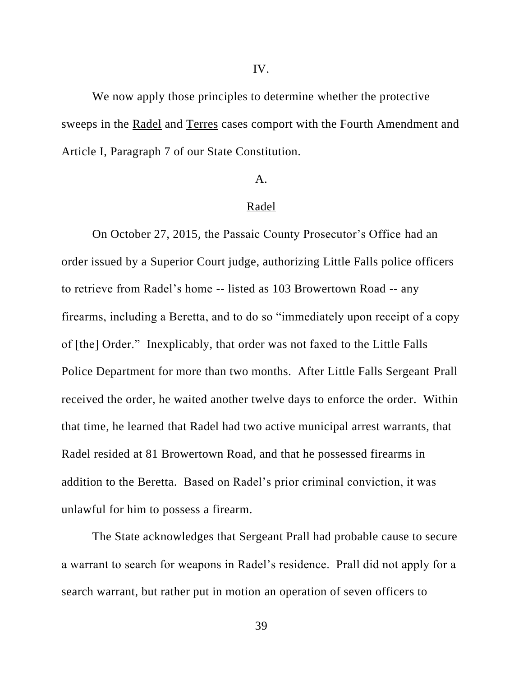We now apply those principles to determine whether the protective sweeps in the Radel and Terres cases comport with the Fourth Amendment and Article I, Paragraph 7 of our State Constitution.

#### A.

### Radel

On October 27, 2015, the Passaic County Prosecutor's Office had an order issued by a Superior Court judge, authorizing Little Falls police officers to retrieve from Radel's home -- listed as 103 Browertown Road -- any firearms, including a Beretta, and to do so "immediately upon receipt of a copy of [the] Order." Inexplicably, that order was not faxed to the Little Falls Police Department for more than two months. After Little Falls Sergeant Prall received the order, he waited another twelve days to enforce the order. Within that time, he learned that Radel had two active municipal arrest warrants, that Radel resided at 81 Browertown Road, and that he possessed firearms in addition to the Beretta. Based on Radel's prior criminal conviction, it was unlawful for him to possess a firearm.

The State acknowledges that Sergeant Prall had probable cause to secure a warrant to search for weapons in Radel's residence. Prall did not apply for a search warrant, but rather put in motion an operation of seven officers to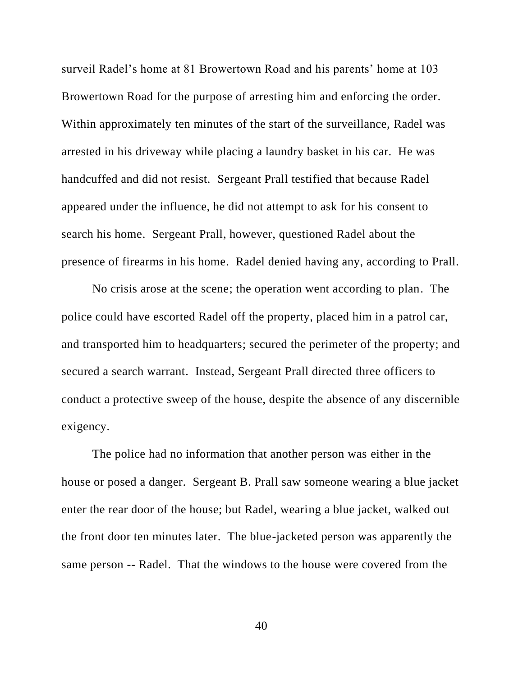surveil Radel's home at 81 Browertown Road and his parents' home at 103 Browertown Road for the purpose of arresting him and enforcing the order. Within approximately ten minutes of the start of the surveillance, Radel was arrested in his driveway while placing a laundry basket in his car. He was handcuffed and did not resist. Sergeant Prall testified that because Radel appeared under the influence, he did not attempt to ask for his consent to search his home. Sergeant Prall, however, questioned Radel about the presence of firearms in his home. Radel denied having any, according to Prall.

No crisis arose at the scene; the operation went according to plan. The police could have escorted Radel off the property, placed him in a patrol car, and transported him to headquarters; secured the perimeter of the property; and secured a search warrant. Instead, Sergeant Prall directed three officers to conduct a protective sweep of the house, despite the absence of any discernible exigency.

The police had no information that another person was either in the house or posed a danger. Sergeant B. Prall saw someone wearing a blue jacket enter the rear door of the house; but Radel, wearing a blue jacket, walked out the front door ten minutes later. The blue-jacketed person was apparently the same person -- Radel. That the windows to the house were covered from the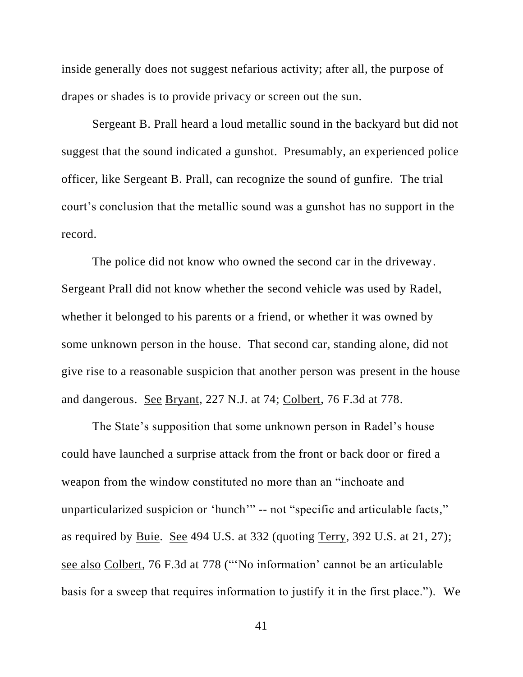inside generally does not suggest nefarious activity; after all, the purpose of drapes or shades is to provide privacy or screen out the sun.

Sergeant B. Prall heard a loud metallic sound in the backyard but did not suggest that the sound indicated a gunshot. Presumably, an experienced police officer, like Sergeant B. Prall, can recognize the sound of gunfire. The trial court's conclusion that the metallic sound was a gunshot has no support in the record.

The police did not know who owned the second car in the driveway. Sergeant Prall did not know whether the second vehicle was used by Radel, whether it belonged to his parents or a friend, or whether it was owned by some unknown person in the house. That second car, standing alone, did not give rise to a reasonable suspicion that another person was present in the house and dangerous. See Bryant, 227 N.J. at 74; Colbert, 76 F.3d at 778.

The State's supposition that some unknown person in Radel's house could have launched a surprise attack from the front or back door or fired a weapon from the window constituted no more than an "inchoate and unparticularized suspicion or 'hunch'" -- not "specific and articulable facts," as required by Buie. See 494 U.S. at 332 (quoting Terry, 392 U.S. at 21, 27); see also Colbert, 76 F.3d at 778 ("'No information' cannot be an articulable basis for a sweep that requires information to justify it in the first place."). We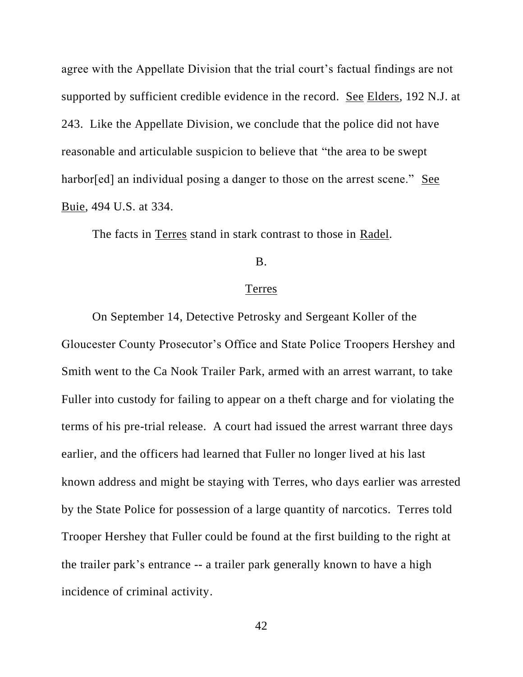agree with the Appellate Division that the trial court's factual findings are not supported by sufficient credible evidence in the record. See Elders, 192 N.J. at 243. Like the Appellate Division, we conclude that the police did not have reasonable and articulable suspicion to believe that "the area to be swept harbor[ed] an individual posing a danger to those on the arrest scene." See Buie, 494 U.S. at 334.

The facts in Terres stand in stark contrast to those in Radel.

## B.

### Terres

On September 14, Detective Petrosky and Sergeant Koller of the Gloucester County Prosecutor's Office and State Police Troopers Hershey and Smith went to the Ca Nook Trailer Park, armed with an arrest warrant, to take Fuller into custody for failing to appear on a theft charge and for violating the terms of his pre-trial release. A court had issued the arrest warrant three days earlier, and the officers had learned that Fuller no longer lived at his last known address and might be staying with Terres, who days earlier was arrested by the State Police for possession of a large quantity of narcotics. Terres told Trooper Hershey that Fuller could be found at the first building to the right at the trailer park's entrance -- a trailer park generally known to have a high incidence of criminal activity.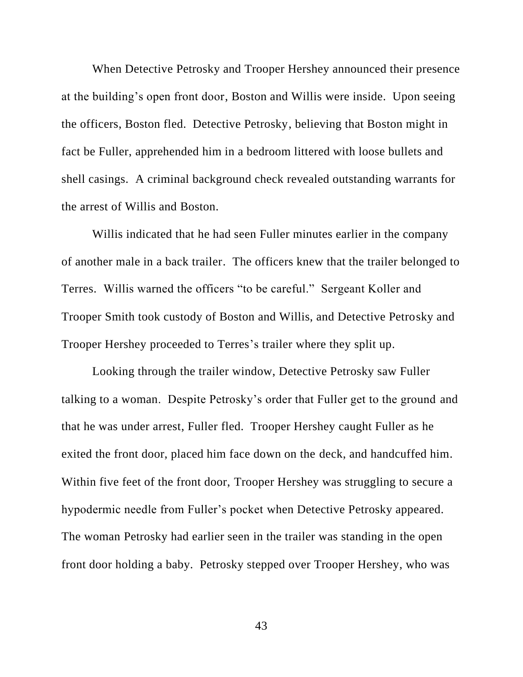When Detective Petrosky and Trooper Hershey announced their presence at the building's open front door, Boston and Willis were inside. Upon seeing the officers, Boston fled. Detective Petrosky, believing that Boston might in fact be Fuller, apprehended him in a bedroom littered with loose bullets and shell casings. A criminal background check revealed outstanding warrants for the arrest of Willis and Boston.

Willis indicated that he had seen Fuller minutes earlier in the company of another male in a back trailer. The officers knew that the trailer belonged to Terres. Willis warned the officers "to be careful." Sergeant Koller and Trooper Smith took custody of Boston and Willis, and Detective Petrosky and Trooper Hershey proceeded to Terres's trailer where they split up.

Looking through the trailer window, Detective Petrosky saw Fuller talking to a woman. Despite Petrosky's order that Fuller get to the ground and that he was under arrest, Fuller fled. Trooper Hershey caught Fuller as he exited the front door, placed him face down on the deck, and handcuffed him. Within five feet of the front door, Trooper Hershey was struggling to secure a hypodermic needle from Fuller's pocket when Detective Petrosky appeared. The woman Petrosky had earlier seen in the trailer was standing in the open front door holding a baby. Petrosky stepped over Trooper Hershey, who was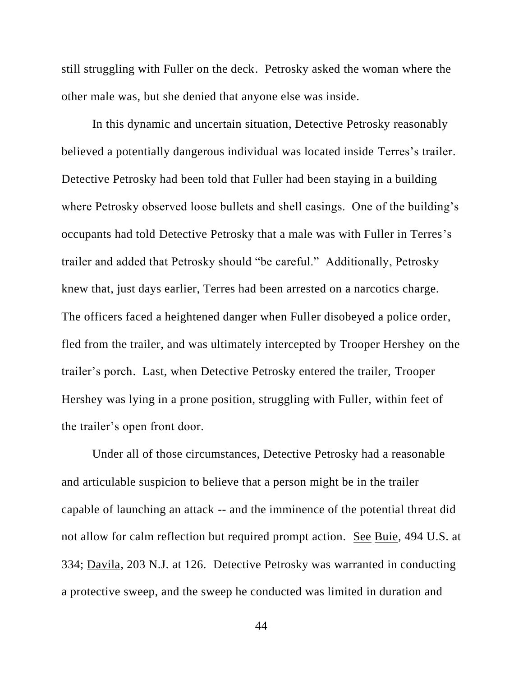still struggling with Fuller on the deck. Petrosky asked the woman where the other male was, but she denied that anyone else was inside.

In this dynamic and uncertain situation, Detective Petrosky reasonably believed a potentially dangerous individual was located inside Terres's trailer. Detective Petrosky had been told that Fuller had been staying in a building where Petrosky observed loose bullets and shell casings. One of the building's occupants had told Detective Petrosky that a male was with Fuller in Terres's trailer and added that Petrosky should "be careful." Additionally, Petrosky knew that, just days earlier, Terres had been arrested on a narcotics charge. The officers faced a heightened danger when Fuller disobeyed a police order, fled from the trailer, and was ultimately intercepted by Trooper Hershey on the trailer's porch. Last, when Detective Petrosky entered the trailer, Trooper Hershey was lying in a prone position, struggling with Fuller, within feet of the trailer's open front door.

Under all of those circumstances, Detective Petrosky had a reasonable and articulable suspicion to believe that a person might be in the trailer capable of launching an attack -- and the imminence of the potential threat did not allow for calm reflection but required prompt action. See Buie, 494 U.S. at 334; Davila, 203 N.J. at 126. Detective Petrosky was warranted in conducting a protective sweep, and the sweep he conducted was limited in duration and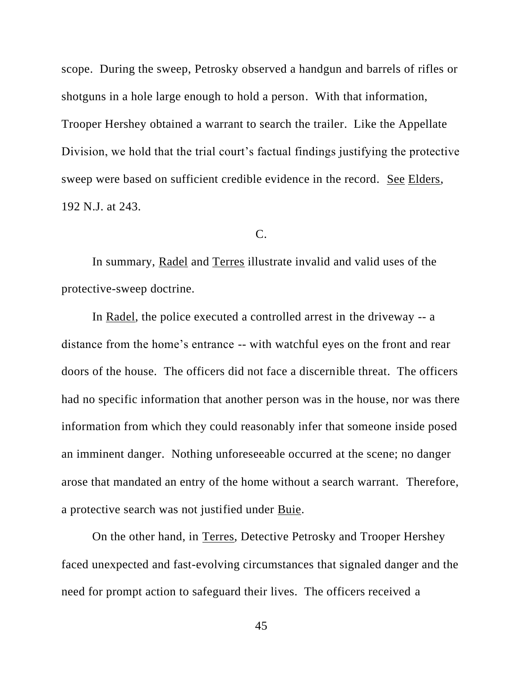scope. During the sweep, Petrosky observed a handgun and barrels of rifles or shotguns in a hole large enough to hold a person. With that information, Trooper Hershey obtained a warrant to search the trailer. Like the Appellate Division, we hold that the trial court's factual findings justifying the protective sweep were based on sufficient credible evidence in the record. See Elders, 192 N.J. at 243.

### C.

In summary, Radel and Terres illustrate invalid and valid uses of the protective-sweep doctrine.

In Radel, the police executed a controlled arrest in the driveway -- a distance from the home's entrance -- with watchful eyes on the front and rear doors of the house. The officers did not face a discernible threat. The officers had no specific information that another person was in the house, nor was there information from which they could reasonably infer that someone inside posed an imminent danger. Nothing unforeseeable occurred at the scene; no danger arose that mandated an entry of the home without a search warrant. Therefore, a protective search was not justified under Buie.

On the other hand, in Terres, Detective Petrosky and Trooper Hershey faced unexpected and fast-evolving circumstances that signaled danger and the need for prompt action to safeguard their lives. The officers received a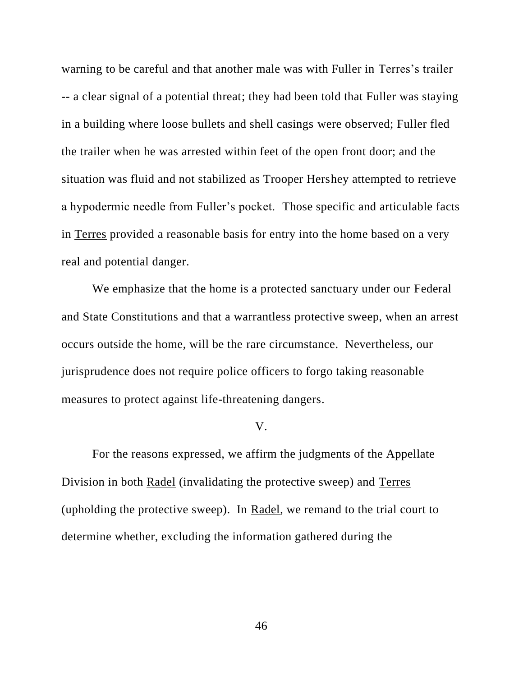warning to be careful and that another male was with Fuller in Terres's trailer -- a clear signal of a potential threat; they had been told that Fuller was staying in a building where loose bullets and shell casings were observed; Fuller fled the trailer when he was arrested within feet of the open front door; and the situation was fluid and not stabilized as Trooper Hershey attempted to retrieve a hypodermic needle from Fuller's pocket. Those specific and articulable facts in Terres provided a reasonable basis for entry into the home based on a very real and potential danger.

We emphasize that the home is a protected sanctuary under our Federal and State Constitutions and that a warrantless protective sweep, when an arrest occurs outside the home, will be the rare circumstance. Nevertheless, our jurisprudence does not require police officers to forgo taking reasonable measures to protect against life-threatening dangers.

#### V.

For the reasons expressed, we affirm the judgments of the Appellate Division in both Radel (invalidating the protective sweep) and Terres (upholding the protective sweep). In Radel, we remand to the trial court to determine whether, excluding the information gathered during the